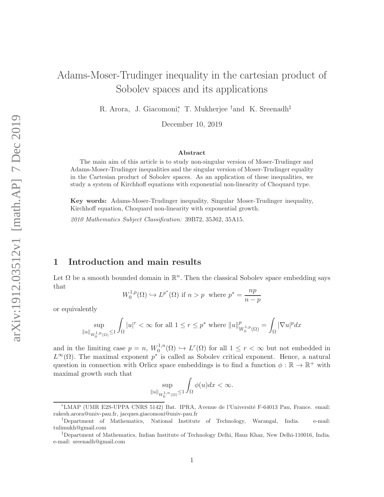# Adams-Moser-Trudinger inequality in the cartesian product of Sobolev spaces and its applications

R. Arora, J. Giacomoni,<sup>\*</sup> T. Mukherjee <sup>†</sup>and K. Sreenadh<sup>‡</sup>

December 10, 2019

#### Abstract

The main aim of this article is to study non-singular version of Moser-Trudinger and Adams-Moser-Trudinger inequalities and the singular version of Moser-Trudinger equality in the Cartesian product of Sobolev spaces. As an application of these inequalities, we study a system of Kirchhoff equations with exponential non-linearity of Choquard type.

Key words: Adams-Moser-Trudinger inequality, Singular Moser-Trudinger inequality, Kirchhoff equation, Choquard non-linearity with exponential growth.

2010 Mathematics Subject Classification: 39B72, 35J62, 35A15.

## 1 Introduction and main results

Let  $\Omega$  be a smooth bounded domain in  $\mathbb{R}^n$ . Then the classical Sobolev space embedding says that

$$
W_0^{1,p}(\Omega) \hookrightarrow L^{p^*}(\Omega)
$$
 if  $n > p$  where  $p^* = \frac{np}{n-p}$ 

or equivalently

$$
\sup_{\|u\|_{W_0^{1,p}(\Omega)} \le 1} \int_{\Omega} |u|^r < \infty \text{ for all } 1 \le r \le p^* \text{ where } \|u\|_{W_0^{1,p}(\Omega)}^p = \int_{\Omega} |\nabla u|^p dx
$$

and in the limiting case  $p = n$ ,  $W_0^{1,n}$  $L^{1,n}(\Omega) \hookrightarrow L^r(\Omega)$  for all  $1 \leq r < \infty$  but not embedded in  $L^{\infty}(\Omega)$ . The maximal exponent  $p^*$  is called as Sobolev critical exponent. Hence, a natural question in connection with Orlicz space embeddings is to find a function  $\phi : \mathbb{R} \to \mathbb{R}^+$  with maximal growth such that

$$
\sup_{\|u\|_{W_0^{1,n}(\Omega)}\leq 1}\int_{\Omega}\phi(u)dx<\infty.
$$

<sup>∗</sup>LMAP (UMR E2S-UPPA CNRS 5142) Bat. IPRA, Avenue de l'Universit´e F-64013 Pau, France. email: rakesh.arora@univ-pau.fr, jacques.giacomoni@univ-pau.fr

<sup>†</sup>Department of Mathematics, National Institute of Technology, Warangal, India. e-mail: tulimukh@gmail.com

<sup>‡</sup>Department of Mathematics, Indian Institute of Technology Delhi, Hauz Khaz, New Delhi-110016, India. e-mail: sreenadh@gmail.com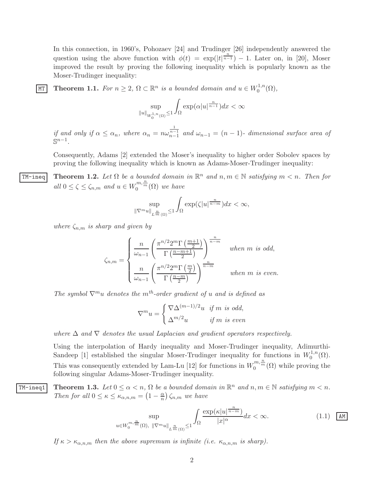In this connection, in 1960's, Pohozaev [24] and Trudinger [26] independently answered the question using the above function with  $\phi(t) = \exp(|t|^{\frac{n}{n-1}}) - 1$ . Later on, in [20], Moser improved the result by proving the following inequality which is popularly known as the Moser-Trudinger inequality:

MT Theorem 1.1. For  $n \geq 2$ ,  $\Omega \subset \mathbb{R}^n$  is a bounded domain and  $u \in W_0^{1,n}$  $\mathcal{L}_0^{1,n}(\Omega),$ 

$$
\sup_{\|u\|_{W_0^{1,n}(\Omega)}\leq 1}\int_{\Omega}\exp(\alpha|u|^{\frac{n}{n-1}})dx<\infty
$$

if and only if  $\alpha \leq \alpha_n$ , where  $\alpha_n = n\omega_{n-1}^{\frac{1}{n-1}}$  and  $\omega_{n-1} = (n-1)$ - dimensional surface area of  $\mathbb{S}^{n-1}$ .

Consequently, Adams [2] extended the Moser's inequality to higher order Sobolev spaces by proving the following inequality which is known as Adams-Moser-Trudinger inequality:

**TM-ineq** Theorem 1.2. Let  $\Omega$  be a bounded domain in  $\mathbb{R}^n$  and  $n, m \in \mathbb{N}$  satisfying  $m < n$ . Then for all  $0 \le \zeta \le \zeta_{n,m}$  and  $u \in W_0^{m,\frac{n}{m}}(\Omega)$  we have

$$
\sup_{\|\nabla^m u\|_{L^{\frac{n}{m}}(\Omega)}\leq 1}\int_{\Omega}\exp(\zeta|u|^{\frac{n}{n-m}})dx<\infty,
$$

where  $\zeta_{n,m}$  is sharp and given by

$$
\zeta_{n,m} = \begin{cases}\n\frac{n}{\omega_{n-1}} \left( \frac{\pi^{n/2} 2^m \Gamma\left(\frac{m+1}{2}\right)}{\Gamma\left(\frac{n-m+1}{2}\right)} \right)^{\frac{n}{n-m}} & \text{when } m \text{ is odd,} \\
\frac{n}{\omega_{n-1}} \left( \frac{\pi^{n/2} 2^m \Gamma\left(\frac{m}{2}\right)}{\Gamma\left(\frac{n-m}{2}\right)} \right)^{\frac{n}{n-m}} & \text{when } m \text{ is even.} \n\end{cases}
$$

The symbol  $\nabla^m u$  denotes the m<sup>th</sup>-order gradient of u and is defined as

$$
\nabla^m u = \begin{cases} \nabla \Delta^{(m-1)/2} u & \text{if } m \text{ is odd,} \\ \Delta^{m/2} u & \text{if } m \text{ is even} \end{cases}
$$

where  $\Delta$  and  $\nabla$  denotes the usual Laplacian and gradient operators respectively.

Using the interpolation of Hardy inequality and Moser-Trudinger inequality, Adimurthi-Sandeep [1] established the singular Moser-Trudinger inequality for functions in  $W_0^{1,n}$  $\mathcal{O}^{1,n}(\Omega).$ This was consequently extended by Lam-Lu [12] for functions in  $W_0^{m,\frac{n}{m}}(\Omega)$  while proving the following singular Adams-Moser-Trudinger inequality.

**TM-ineq1** Theorem 1.3. Let  $0 \le \alpha < n$ ,  $\Omega$  be a bounded domain in  $\mathbb{R}^n$  and  $n, m \in \mathbb{N}$  satisfying  $m < n$ . Then for all  $0 \leq \kappa \leq \kappa_{\alpha,n,m} = \left(1 - \frac{\alpha}{n}\right)$  $\frac{\alpha}{n}$ )  $\zeta_{n,m}$  we have

$$
\sup_{u \in W_0^{m, \frac{n}{m}}(\Omega), \ \|\nabla^m u\|_{L^{\frac{n}{m}}(\Omega)} \le 1} \int_{\Omega} \frac{\exp(\kappa |u|^{\frac{n}{n-m}})}{|x|^{\alpha}} dx < \infty. \tag{1.1}
$$

If  $\kappa > \kappa_{\alpha,n,m}$  then the above supremum is infinite (i.e.  $\kappa_{\alpha,n,m}$  is sharp).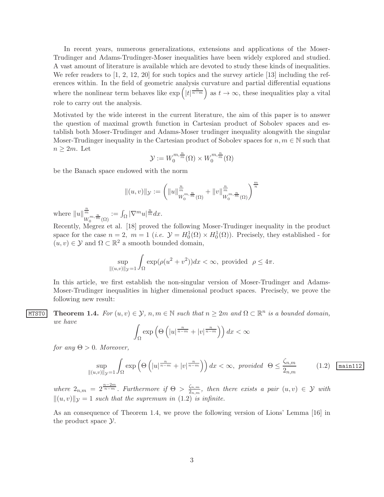In recent years, numerous generalizations, extensions and applications of the Moser-Trudinger and Adams-Trudinger-Moser inequalities have been widely explored and studied. A vast amount of literature is available which are devoted to study these kinds of inequalities. We refer readers to  $\left[1, 2, 12, 20\right]$  for such topics and the survey article  $\left[13\right]$  including the references within. In the field of geometric analysis curvature and partial differential equations where the nonlinear term behaves like  $\exp\left(|t|^{\frac{n}{n-m}}\right)$  as  $t \to \infty$ , these inequalities play a vital role to carry out the analysis.

Motivated by the wide interest in the current literature, the aim of this paper is to answer the question of maximal growth function in Cartesian product of Sobolev spaces and establish both Moser-Trudinger and Adams-Moser trudinger inequality alongwith the singular Moser-Trudinger inequality in the Cartesian product of Sobolev spaces for  $n, m \in \mathbb{N}$  such that  $n \geq 2m$ . Let

$$
\mathcal{Y} := W_0^{m, \frac{n}{m}}(\Omega) \times W_0^{m, \frac{n}{m}}(\Omega)
$$

be the Banach space endowed with the norm

$$
\|(u,v)\|_{\mathcal{Y}} := \left( \|u\|_{W_0^{m,\frac{n}{m}}(\Omega)}^{\frac{n}{m}} + \|v\|_{W_0^{m,\frac{n}{m}}(\Omega)}^{\frac{n}{m}} \right)^{\frac{m}{n}}
$$

where  $||u||^{\frac{n}{m}}$  $\frac{\frac{n}{m}}{W_0^{m,\frac{n}{m}}(\Omega)} := \int_{\Omega} |\nabla^m u|^{\frac{n}{m}} dx.$ 

Recently, Megrez et al. [18] proved the following Moser-Trudinger inequality in the product space for the case  $n = 2$ ,  $m = 1$  (*i.e.*  $\mathcal{Y} = H_0^1(\Omega) \times H_0^1(\Omega)$ ). Precisely, they established - for  $(u, v) \in \mathcal{Y}$  and  $\Omega \subset \mathbb{R}^2$  a smooth bounded domain,

$$
\sup_{\|(u,v)\|_{\mathcal{Y}}=1} \int_{\Omega} \exp(\rho(u^2+v^2))dx < \infty, \text{ provided } \rho \le 4\pi.
$$

In this article, we first establish the non-singular version of Moser-Trudinger and Adams-Moser-Trudinger inequalities in higher dimensional product spaces. Precisely, we prove the following new result:

MTSTO Theorem 1.4. For  $(u, v) \in \mathcal{Y}$ ,  $n, m \in \mathbb{N}$  such that  $n \geq 2m$  and  $\Omega \subset \mathbb{R}^n$  is a bounded domain, we have

$$
\int_{\Omega} \exp\left(\Theta\left(|u|^{\frac{n}{n-m}}+|v|^{\frac{n}{n-m}}\right)\right) dx < \infty
$$

for any  $\Theta > 0$ . Moreover,

$$
\sup_{\|(u,v)\|_{\mathcal{Y}}=1} \int_{\Omega} \exp\left(\Theta\left(|u|^{\frac{n}{n-m}}+|v|^{\frac{n}{n-m}}\right)\right)dx < \infty, \text{ provided } \Theta \le \frac{\zeta_{n,m}}{2_{n,m}} \tag{1.2} \boxed{\text{main 112}}
$$

where  $2_{n,m} = 2^{\frac{n-2m}{n-m}}$ . Furthermore if  $\Theta > \frac{\zeta_{n,m}}{2_{n,m}}$  $\frac{\zeta_{n,m}}{2_{n,m}},$  then there exists a pair  $(u, v) \in \mathcal{Y}$  with  $||(u, v)||_{\mathcal{V}} = 1$  such that the supremum in (1.2) is infinite.

As an consequence of Theorem 1.4, we prove the following version of Lions' Lemma [16] in the product space  $\mathcal{Y}$ .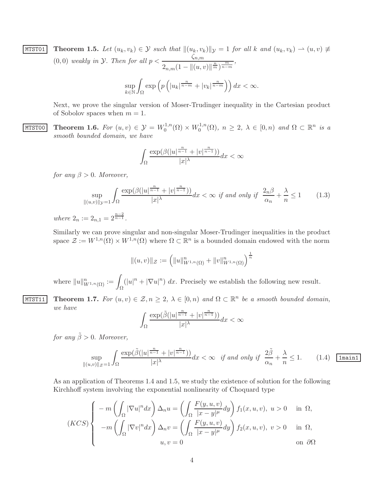$$
\begin{array}{ll}\n\text{MIST01} & \text{Theorem 1.5. Let } (u_k, v_k) \in \mathcal{Y} \text{ such that } \|(u_k, v_k)\|_{\mathcal{Y}} = 1 \text{ for all } k \text{ and } (u_k, v_k) \to (u, v) \neq (0, 0) \text{ weakly in } \mathcal{Y}. \text{ Then for all } p < \frac{\zeta_{n,m}}{2_{n,m}(1 - \| (u, v) \|_m^{\frac{n}{m}})^{\frac{m}{n-m}}}, \\
& \sup_{k \in \mathbb{N}} \int_{\Omega} \exp\left(p\left(|u_k|^{\frac{n}{n-m}} + |v_k|^{\frac{n}{n-m}}\right)\right) dx < \infty.\n\end{array}
$$

Next, we prove the singular version of Moser-Trudinger inequality in the Cartesian product of Sobolov spaces when  $m = 1$ .

MTST00 Theorem 1.6. For  $(u, v) \in \mathcal{Y} = W_0^{1,n}$  $W_0^{1,n}(\Omega) \times W_0^{1,n}$  $\lambda_0^{1,n}(\Omega)$ ,  $n \geq 2$ ,  $\lambda \in [0,n)$  and  $\Omega \subset \mathbb{R}^n$  is a smooth bounded domain, we have

$$
\int_{\Omega}\frac{\exp(\beta(|u|^{\frac{n}{n-1}}+|v|^{\frac{n}{n-1}}))}{|x|^{\lambda}}dx<\infty
$$

for any  $\beta > 0$ . Moreover,

$$
\sup_{\|(u,v)\|_{\mathcal{Y}}=1} \int_{\Omega} \frac{\exp(\beta(|u|^{\frac{n}{n-1}} + |v|^{\frac{n}{n-1}}))}{|x|^{\lambda}} dx < \infty \text{ if and only if } \frac{2_n \beta}{\alpha_n} + \frac{\lambda}{n} \le 1 \tag{1.3}
$$

where  $2_n := 2_{n,1} = 2^{\frac{n-2}{n-1}}$ .

Similarly we can prove singular and non-singular Moser-Trudinger inequalities in the product space  $\mathcal{Z} := W^{1,n}(\Omega) \times W^{1,n}(\Omega)$  where  $\Omega \subset \mathbb{R}^n$  is a bounded domain endowed with the norm

$$
||(u,v)||_{\mathcal{Z}} := (||u||_{W^{1,n}(\Omega)}^n + ||v||_{W^{1,n}(\Omega)}^n)^{\frac{1}{n}}
$$

where  $||u||_{W^{1,n}(\Omega)}^n := \int_{\Omega}$  $(|u|^n + |\nabla u|^n) dx$ . Precisely we establish the following new result.

## MTST11 Theorem 1.7. For  $(u, v) \in \mathcal{Z}, n \geq 2, \lambda \in [0, n)$  and  $\Omega \subset \mathbb{R}^n$  be a smooth bounded domain, we have

$$
\int_{\Omega}\frac{\exp(\tilde{\beta}(|u|^{\frac{n}{n-1}}+|v|^{\frac{n}{n-1}}))}{|x|^{\lambda}}dx<\infty
$$

for any  $\tilde{\beta} > 0$ . Moreover,

$$
\sup_{\|(u,v)\|_{\mathcal{Z}}=1} \int_{\Omega} \frac{\exp(\tilde{\beta}(|u|^{\frac{n}{n-1}}+|v|^{\frac{n}{n-1}}))}{|x|^{\lambda}} dx < \infty \quad \text{if and only if} \quad \frac{2\tilde{\beta}}{\alpha_n} + \frac{\lambda}{n} \le 1. \tag{1.4} \quad \boxed{\text{1main1}}
$$

As an application of Theorems 1.4 and 1.5, we study the existence of solution for the following Kirchhoff system involving the exponential nonlinearity of Choquard type

$$
(KCS)\begin{cases}\n-m\left(\int_{\Omega}|\nabla u|^n dx\right)\Delta_n u = \left(\int_{\Omega}\frac{F(y,u,v)}{|x-y|^{\mu}}dy\right)f_1(x,u,v),\ u>0 & \text{in }\Omega, \\
-m\left(\int_{\Omega}|\nabla v|^n dx\right)\Delta_n v = \left(\int_{\Omega}\frac{F(y,u,v)}{|x-y|^{\mu}}dy\right)f_2(x,u,v),\ v>0 & \text{in }\Omega, \\
u,v=0 & \text{on }\partial\Omega\n\end{cases}
$$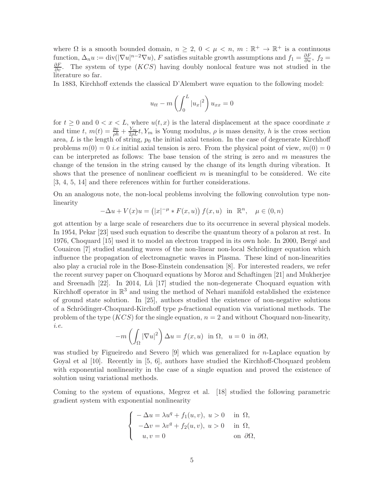where  $\Omega$  is a smooth bounded domain,  $n \geq 2$ ,  $0 < \mu < n$ ,  $m : \mathbb{R}^+ \to \mathbb{R}^+$  is a continuous function,  $\Delta_n u := \text{div}(|\nabla u|^{n-2} \nabla u)$ , *F* satisfies suitable growth assumptions and  $f_1 = \frac{\partial F}{\partial u}$ ,  $f_2 = \frac{\partial F}{\partial v}$ . The system of type (*KCS*) having doubly nonlocal feature was not studied in the literature so far.

In 1883, Kirchhoff extends the classical D'Alembert wave equation to the following model:

$$
u_{tt} - m\left(\int_0^L |u_x|^2\right)u_{xx} = 0
$$

for  $t \geq 0$  and  $0 < x < L$ , where  $u(t, x)$  is the lateral displacement at the space coordinate x and time t,  $m(t) = \frac{p_0}{\rho h} + \frac{Y_m}{2\rho L}t$ ,  $Y_m$  is Young modulus,  $\rho$  is mass density, h is the cross section area,  $L$  is the length of string,  $p_0$  the initial axial tension. In the case of degenerate Kirchhoff problems  $m(0) = 0$  *i.e* initial axial tension is zero. From the physical point of view,  $m(0) = 0$ can be interpreted as follows: The base tension of the string is zero and  $m$  measures the change of the tension in the string caused by the change of its length during vibration. It shows that the presence of nonlinear coefficient  $m$  is meaningful to be considered. We cite [3, 4, 5, 14] and there references within for further considerations.

On an analogous note, the non-local problems involving the following convolution type nonlinearity

$$
-\Delta u + V(x)u = (|x|^{-\mu} * F(x, u)) f(x, u) \text{ in } \mathbb{R}^n, \mu \in (0, n)
$$

got attention by a large scale of researchers due to its occurrence in several physical models. In 1954, Pekar [23] used such equation to describe the quantum theory of a polaron at rest. In 1976, Choquard [15] used it to model an electron trapped in its own hole. In 2000, Bergé and Couairon [7] studied standing waves of the non-linear non-local Schrödinger equation which influence the propagation of electromagnetic waves in Plasma. These kind of non-linearities also play a crucial role in the Bose-Einstein condensation [8]. For interested readers, we refer the recent survey paper on Choquard equations by Moroz and Schaftingen [21] and Mukherjee and Sreenadh  $[22]$ . In 2014, Lü  $[17]$  studied the non-degenerate Choquard equation with Kirchhoff operator in  $\mathbb{R}^3$  and using the method of Nehari manifold established the existence of ground state solution. In [25], authors studied the existence of non-negative solutions of a Schrödinger-Choquard-Kirchoff type  $p$ -fractional equation via variational methods. The problem of the type  $(KCS)$  for the single equation,  $n = 2$  and without Choquard non-linearity, i.e.

$$
-m\left(\int_{\Omega}|\nabla u|^{2}\right)\Delta u = f(x, u) \text{ in } \Omega, \quad u = 0 \text{ in } \partial\Omega,
$$

was studied by Figueiredo and Severo [9] which was generalized for *n*-Laplace equation by Goyal et al [10]. Recently in [5, 6], authors have studied the Kirchhoff-Choquard problem with exponential nonlinearity in the case of a single equation and proved the existence of solution using variational methods.

Coming to the system of equations, Megrez et al. [18] studied the following parametric gradient system with exponential nonlinearity

$$
\begin{cases}\n-\Delta u = \lambda u^q + f_1(u, v), u > 0 & \text{in } \Omega, \\
-\Delta v = \lambda v^q + f_2(u, v), u > 0 & \text{in } \Omega, \\
u, v = 0 & \text{on } \partial\Omega,\n\end{cases}
$$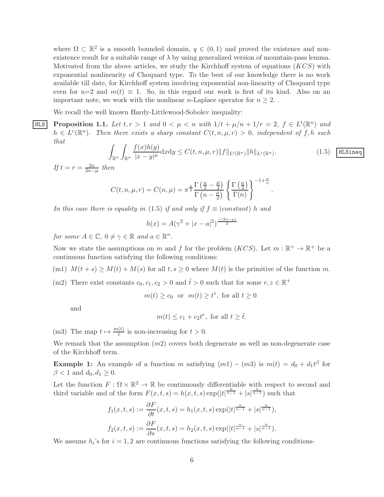where  $\Omega \subset \mathbb{R}^2$  is a smooth bounded domain,  $q \in (0,1)$  and proved the existence and nonexistence result for a suitable range of  $\lambda$  by using generalized version of mountain-pass lemma. Motivated from the above articles, we study the Kirchhoff system of equations  $(KCS)$  with exponential nonlinearity of Choquard type. To the best of our knowledge there is no work available till date, for Kirchhoff system involving exponential non-linearity of Choquard type even for n=2 and  $m(t) \equiv 1$ . So, in this regard our work is first of its kind. Also on an important note, we work with the nonlinear *n*-Laplace operator for  $n \geq 2$ .

We recall the well known Hardy-Littlewood-Sobolev inequality:

HLS Proposition 1.1. Let  $t, r > 1$  and  $0 < \mu < n$  with  $1/t + \mu/n + 1/r = 2$ ,  $f \in L^t(\mathbb{R}^n)$  and  $h \in L^r(\mathbb{R}^n)$ . Then there exists a sharp constant  $C(t, n, \mu, r) > 0$ , independent of f, h such that

$$
\int_{\mathbb{R}^n} \int_{\mathbb{R}^n} \frac{f(x)h(y)}{|x-y|^{\mu}} dxdy \le C(t, n, \mu, r) \|f\|_{L^t(\mathbb{R}^n)} \|h\|_{L^r(\mathbb{R}^n)}.
$$
\n(1.5) HLSineq

.

If  $t = r = \frac{2n}{2n}$  $rac{2n}{2n-\mu}$  then

$$
C(t, n, \mu, r) = C(n, \mu) = \pi^{\frac{\mu}{2}} \frac{\Gamma(\frac{n}{2} - \frac{\mu}{2})}{\Gamma(n - \frac{\mu}{2})} \left\{ \frac{\Gamma(\frac{n}{2})}{\Gamma(n)} \right\}^{-1 + \frac{\mu}{n}}
$$

In this case there is equality in (1.5) if and only if  $f \equiv (constant)$  h and

$$
h(x) = A(\gamma^2 + |x - a|^2)^{\frac{-(2n-\mu)}{2}}
$$

for some  $A \in \mathbb{C}$ ,  $0 \neq \gamma \in \mathbb{R}$  and  $a \in \mathbb{R}^n$ .

Now we state the assumptions on m and f for the problem  $(KCS)$ . Let  $m : \mathbb{R}^+ \to \mathbb{R}^+$  be a continuous function satisfying the following conditions:

(m1)  $M(t + s) \geq M(t) + M(s)$  for all  $t, s \geq 0$  where  $M(t)$  is the primitive of the function m.

(m2) There exist constants  $c_0, c_1, c_2 > 0$  and  $\tilde{t} > 0$  such that for some  $r, z \in \mathbb{R}^+$ 

 $m(t) \ge c_0$  or  $m(t) \ge t^z$ , for all  $t \ge 0$ 

and

$$
m(t) \leq c_1 + c_2 t^r
$$
, for all  $t \geq \tilde{t}$ .

(m3) The map  $t \mapsto \frac{m(t)}{t}$  is non-increasing for  $t > 0$ .

We remark that the assumption  $(m2)$  covers both degenerate as well as non-degenerate case of the Kirchhoff term.

**Example 1:** An example of a function m satisfying  $(m1) - (m3)$  is  $m(t) = d_0 + d_1 t^{\beta}$  for  $\beta < 1$  and  $d_0, d_1 \geq 0$ .

Let the function  $F: \Omega \times \mathbb{R}^2 \to \mathbb{R}$  be continuously differentiable with respect to second and third variable and of the form  $F(x,t,s) = h(x,t,s) \exp(|t|^{\frac{n}{n-1}} + |s|^{\frac{n}{n-1}})$  such that

$$
f_1(x,t,s) := \frac{\partial F}{\partial t}(x,t,s) = h_1(x,t,s) \exp(|t|^{\frac{n}{n-1}} + |s|^{\frac{n}{n-1}}),
$$
  

$$
f_2(x,t,s) := \frac{\partial F}{\partial s}(x,t,s) = h_2(x,t,s) \exp(|t|^{\frac{n}{n-1}} + |s|^{\frac{n}{n-1}}).
$$

We assume  $h_i$ 's for  $i = 1, 2$  are continuous functions satisfying the following conditions-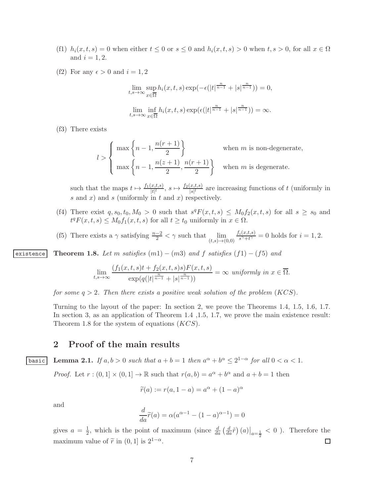- (f1)  $h_i(x, t, s) = 0$  when either  $t \leq 0$  or  $s \leq 0$  and  $h_i(x, t, s) > 0$  when  $t, s > 0$ , for all  $x \in \Omega$ and  $i = 1, 2$ .
- (f2) For any  $\epsilon > 0$  and  $i = 1, 2$

$$
\lim_{t,s \to \infty} \sup_{x \in \overline{\Omega}} h_i(x,t,s) \exp(-\epsilon (|t|^{\frac{n}{n-1}} + |s|^{\frac{n}{n-1}})) = 0,
$$
  

$$
\lim_{t,s \to \infty} \inf_{x \in \overline{\Omega}} h_i(x,t,s) \exp(\epsilon (|t|^{\frac{n}{n-1}} + |s|^{\frac{n}{n-1}})) = \infty.
$$

(f3) There exists

$$
l > \begin{cases} \max\left\{n-1, \frac{n(r+1)}{2}\right\} & \text{when } m \text{ is non-degenerate,} \\ \max\left\{n-1, \frac{n(z+1)}{2}, \frac{n(r+1)}{2}\right\} & \text{when } m \text{ is degenerate.} \end{cases}
$$

such that the maps  $t \mapsto \frac{f_1(x,t,s)}{|t|^l}$ ,  $s \mapsto \frac{f_2(x,t,s)}{|s|^l}$  are increasing functions of t (uniformly in  $s$  and  $x$ ) and  $s$  (uniformly in  $t$  and  $x$ ) respectively.

- (f4) There exist  $q, s_0, t_0, M_0 > 0$  such that  $s^q F(x,t,s) \leq M_0 f_2(x,t,s)$  for all  $s \geq s_0$  and  $t^q F(x,t,s) \leq M_0 f_1(x,t,s)$  for all  $t \geq t_0$  uniformly in  $x \in \Omega$ .
- (f5) There exists a  $\gamma$  satisfying  $\frac{n-2}{2} < \gamma$  such that  $\lim_{(t,s)\to(0,0)}$  $f_i(x,t,s)$  $\frac{i(x,t,s)}{s^{\gamma}+t^{\gamma}}=0$  holds for  $i=1,2$ .

existence Theorem 1.8. Let m satisfies  $(m1) - (m3)$  and f satisfies  $(f1) - (f5)$  and

$$
\lim_{t,s\to\infty}\frac{(f_1(x,t,s)t+f_2(x,t,s)s)F(x,t,s)}{\exp(q(|t|^{\frac{n}{n-1}}+|s|^{\frac{n}{n-1}}))}=\infty \text{ uniformly in } x\in\overline{\Omega}.
$$

for some  $q > 2$ . Then there exists a positive weak solution of the problem  $(KCS)$ .

Turning to the layout of the paper: In section 2, we prove the Theorems 1.4, 1.5, 1.6, 1.7. In section 3, as an application of Theorem 1.4 ,1.5, 1.7, we prove the main existence result: Theorem 1.8 for the system of equations (KCS).

## 2 Proof of the main results

basic Lemma 2.1. If  $a, b > 0$  such that  $a + b = 1$  then  $a^{\alpha} + b^{\alpha} \leq 2^{1-\alpha}$  for all  $0 < \alpha < 1$ .

*Proof.* Let  $r:(0,1] \times (0,1] \to \mathbb{R}$  such that  $r(a,b) = a^{\alpha} + b^{\alpha}$  and  $a+b=1$  then

$$
\widetilde{r}(a) := r(a, 1 - a) = a^{\alpha} + (1 - a)^{\alpha}
$$

and

$$
\frac{d}{da}\widetilde{r}(a) = \alpha(a^{\alpha - 1} - (1 - a)^{\alpha - 1}) = 0
$$

 $\frac{1}{2}$ , which is the point of maximum (since  $\frac{d}{da} \left(\frac{d}{da}\tilde{r}\right)(a)\big|_{a=\frac{1}{2}} < 0$ ). Therefore the gives  $a = \frac{1}{2}$ maximum value of  $\tilde{r}$  in (0, 1] is  $2^{1-\alpha}$ .  $\Box$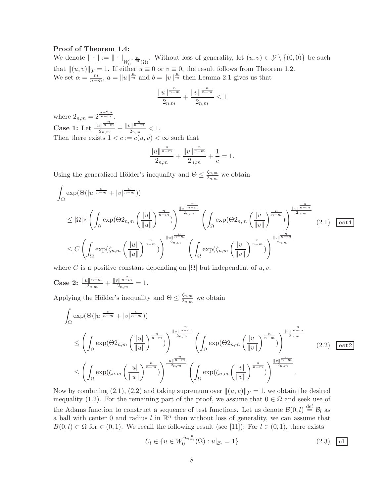#### Proof of Theorem 1.4:

We denote  $\|\cdot\| := \|\cdot\|_{W_0^{m, \frac{n}{m}}(\Omega)}$ . Without loss of generality, let  $(u, v) \in \mathcal{Y} \setminus \{(0, 0)\}\)$  be such that  $\|(u, v)\|_{\mathcal{Y}} = 1$ . If either  $u \equiv 0$  or  $v \equiv 0$ , the result follows from Theorem 1.2. We set  $\alpha = \frac{m}{n-m}$ ,  $a = ||u||^{\frac{n}{m}}$  and  $b = ||v||^{\frac{n}{m}}$  then Lemma 2.1 gives us that

$$
\frac{\|u\|^{\frac{n}{n-m}}}{2_{n,m}}+\frac{\|v\|^{\frac{n}{n-m}}}{2_{n,m}}\leq 1
$$

where  $2_{n,m} = 2^{\frac{n-2m}{n-m}}$ . Case 1: Let  $\frac{||u||^{\frac{n}{n-m}}}{2}$  $\frac{u\left\| \frac{n}{n-m} \right\|}{2_{n,m}} + \frac{\|v\| \frac{n}{n-m}}{2_{n,m}}$  $\frac{\sum_{n,m}^{n-m}}{2_{n,m}} < 1.$ Then there exists  $1 < c := c(u, v) < \infty$  such that

$$
\frac{\|u\|^{\frac{n}{n-m}}}{2_{n,m}} + \frac{\|v\|^{\frac{n}{n-m}}}{2_{n,m}} + \frac{1}{c} = 1.
$$

Using the generalized Hölder's inequality and  $\Theta \leq \frac{\zeta_{n,m}}{2\pi\epsilon}$  $\frac{\zeta_{n,m}}{2_{n,m}}$  we obtain

$$
\int_{\Omega} \exp(\Theta(|u|^{\frac{n}{n-m}} + |v|^{\frac{n}{n-m}}))
$$
\n
$$
\leq |\Omega|^{\frac{1}{c}} \left( \int_{\Omega} \exp(\Theta_{n,m}(|u|))^{\frac{n}{n-m}} \right)^{\frac{\|u\|^{n-m}}{2n,m}} \left( \int_{\Omega} \exp(\Theta_{n,m}(|v|))^{\frac{n}{n-m}} \right)^{\frac{\|v\|^{n-m}}{2n,m}} (2.1) \quad \text{est1}
$$
\n
$$
\leq C \left( \int_{\Omega} \exp(\zeta_{n,m}(|u|))^{\frac{n}{n-m}} \right)^{\frac{\|u\|^{n-m}}{2n,m}} \left( \int_{\Omega} \exp(\zeta_{n,m}(|v|))^{\frac{n}{n-m}} \right)^{\frac{\|v\|^{n-m}}{2n,m}} (2.1) \quad \text{est1}
$$

where C is a positive constant depending on  $|\Omega|$  but independent of u, v.

Case 2:  $\frac{||u||^{\frac{n}{n-m}}}{2}$  $rac{\sqrt[n]{\sqrt[n]{n-m}}}{2_{n,m}} + \frac{\sqrt[n]{\sqrt[n]{\sqrt[n]{n-m}}}}{2_{n,m}}$  $rac{\sum_{n,m}^{n-m}}{2_{n,m}}=1.$ 

Applying the Hölder's inequality and  $\Theta \leq \frac{\zeta_{n,m}}{2\pi\epsilon}$  $\frac{\zeta_{n,m}}{2_{n,m}}$  we obtain

$$
\int_{\Omega} \exp(\Theta(|u|^{\frac{n}{n-m}} + |v|^{\frac{n}{n-m}}))
$$
\n
$$
\leq \left(\int_{\Omega} \exp(\Theta_{n,m}\left(\frac{|u|}{\|u\|}\right)^{\frac{n}{n-m}})\right)^{\frac{\|u\|^{n-m}}{2n,m}} \left(\int_{\Omega} \exp(\Theta_{n,m}\left(\frac{|v|}{\|v\|}\right)^{\frac{n}{n-m}})\right)^{\frac{\|v\|^{n-m}}{2n,m}} (2.2) \quad \text{est2}
$$
\n
$$
\leq \left(\int_{\Omega} \exp(\zeta_{n,m}\left(\frac{|u|}{\|u\|}\right)^{\frac{n}{n-m}})\right)^{\frac{\|u\|^{n-m}}{2n,m}} \left(\int_{\Omega} \exp(\zeta_{n,m}\left(\frac{|v|}{\|v\|}\right)^{\frac{n}{n-m}})\right)^{\frac{\|v\|^{n-m}}{2n,m}}.
$$

Now by combining (2.1), (2.2) and taking supremum over  $||(u, v)||_{\mathcal{V}} = 1$ , we obtain the desired inequality (1.2). For the remaining part of the proof, we assume that  $0 \in \Omega$  and seek use of the Adams function to construct a sequence of test functions. Let us denote  $\mathcal{B}(0, l) \stackrel{\text{def}}{=} \mathcal{B}_l$  as a ball with center 0 and radius  $l$  in  $\mathbb{R}^n$  then without loss of generality, we can assume that  $B(0, l) \subset \Omega$  for  $\in (0, 1)$ . We recall the following result (see [11]): For  $l \in (0, 1)$ , there exists

$$
U_l \in \{ u \in W_0^{m, \frac{n}{m}}(\Omega) : u|_{\mathcal{B}_l} = 1 \}
$$
\n(2.3)  $\boxed{u_1}$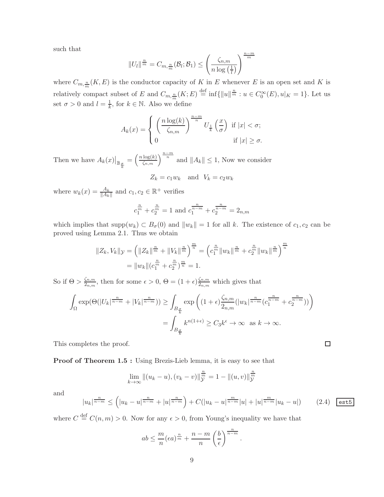such that

$$
||U_l||^{\frac{n}{m}} = C_{m, \frac{n}{m}}(\mathcal{B}_l; \mathcal{B}_1) \le \left(\frac{\zeta_{n,m}}{n \log\left(\frac{1}{l}\right)}\right)^{\frac{n-m}{m}}
$$

where  $C_{m,\frac{n}{m}}(K,E)$  is the conductor capacity of K in E whenever E is an open set and K is m relatively compact subset of E and  $C_{m,\frac{n}{m}}(K;E) \stackrel{\text{def}}{=} \inf\{||u||^{\frac{n}{m}} : u \in C_0^{\infty}(E), u|_K = 1\}.$  Let us set  $\sigma > 0$  and  $l = \frac{1}{k}$  $\frac{1}{k}$ , for  $k \in \mathbb{N}$ . Also we define

$$
A_k(x) = \begin{cases} \left(\frac{n\log(k)}{\zeta_{n,m}}\right)^{\frac{n-m}{n}} U_{\frac{1}{k}}\left(\frac{x}{\sigma}\right) & \text{if } |x| < \sigma; \\ 0 & \text{if } |x| \ge \sigma. \end{cases}
$$

Then we have  $A_k(x)|_{\mathbb{B}_{\frac{\sigma}{k}}}$  $=\left(\frac{n\log(k)}{\zeta_{n,m}}\right)^{\frac{n-m}{n}}$  and  $||A_k|| \leq 1$ , Now we consider

$$
Z_k = c_1 w_k \quad \text{and} \quad V_k = c_2 w_k
$$

where  $w_k(x) = \frac{A_k}{\|A_k\|}$  and  $c_1, c_2 \in \mathbb{R}^+$  verifies

$$
c_1^{\frac{n}{m}} + c_2^{\frac{n}{m}} = 1
$$
 and  $c_1^{\frac{n}{n-m}} + c_2^{\frac{n}{n-m}} = 2_{n,m}$ 

which implies that  $\text{supp}(w_k) \subset B_{\sigma}(0)$  and  $||w_k|| = 1$  for all k. The existence of  $c_1, c_2$  can be proved using Lemma 2.1. Thus we obtain

$$
||Z_k, V_k||_{\mathcal{Y}} = \left(||Z_k||^{\frac{n}{m}} + ||V_k||^{\frac{n}{m}}\right)^{\frac{m}{n}} = \left(c_1^{\frac{n}{m}}||w_k||^{\frac{n}{m}} + c_2^{\frac{n}{m}}||w_k||^{\frac{n}{m}}\right)^{\frac{m}{n}}
$$

$$
= ||w_k||(c_1^{\frac{n}{m}} + c_2^{\frac{n}{m}})^{\frac{m}{n}} = 1.
$$

So if  $\Theta > \frac{\zeta_{n,m}}{2}$  $\frac{\zeta_{n,m}}{2_{n,m}},$  then for some  $\epsilon > 0$ ,  $\Theta = (1 + \epsilon) \frac{\zeta_{n,m}}{2_{n,m}}$  $\frac{\zeta_{n,m}}{2_{n,m}}$  which gives that

$$
\int_{\Omega} \exp(\Theta(|U_k|^{\frac{n}{n-m}} + |V_k|^{\frac{n}{n-m}})) \ge \int_{B_{\frac{\sigma}{k}}} \exp\left((1+\epsilon)\frac{\zeta_{n,m}}{2_{n,m}}(|w_k|^{\frac{n}{n-m}}(c_1^{\frac{n}{n-m}} + c_2^{\frac{n}{n-m}}))\right)
$$

$$
= \int_{B_{\frac{\sigma}{k}}} k^{n(1+\epsilon)} \ge C_3 k^{\epsilon} \to \infty \text{ as } k \to \infty.
$$

This completes the proof.

**Proof of Theorem 1.5 :** Using Brezis-Lieb lemma, it is easy to see that

$$
\lim_{k \to \infty} \|(u_k - u), (v_k - v)\|_{\mathcal{Y}}^{\frac{n}{m}} = 1 - \|(u, v)\|_{\mathcal{Y}}^{\frac{n}{m}}
$$

and

$$
|u_k|^{\frac{n}{n-m}} \le (|u_k - u|^{\frac{n}{n-m}} + |u|^{\frac{n}{n-m}}) + C(|u_k - u|^{\frac{m}{n-m}} |u| + |u|^{\frac{m}{n-m}} |u_k - u|) \tag{2.4}
$$

 $\Box$ 

where  $C \stackrel{\text{def}}{=} C(n,m) > 0$ . Now for any  $\epsilon > 0$ , from Young's inequality we have that

$$
ab \leq \frac{m}{n} (\epsilon a)^{\frac{n}{m}} + \frac{n-m}{n} \left(\frac{b}{\epsilon}\right)^{\frac{n}{n-m}}.
$$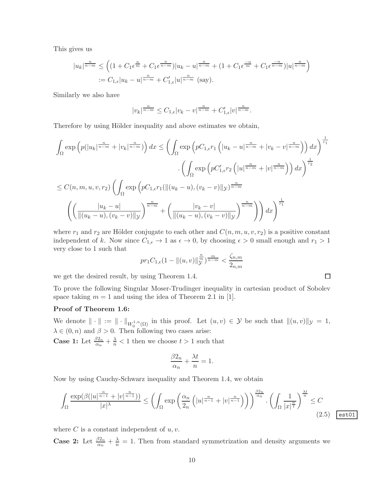This gives us

$$
|u_k|^{\frac{n}{n-m}} \leq \left( (1 + C_1 \epsilon^{\frac{n}{m}} + C_1 \epsilon^{\frac{n}{n-m}}) |u_k - u|^{\frac{n}{n-m}} + (1 + C_1 \epsilon^{\frac{-n}{m}} + C_1 \epsilon^{\frac{-n}{n-m}}) |u|^{\frac{n}{n-m}} \right)
$$
  
 :=  $C_{1,\epsilon} |u_k - u|^{\frac{n}{n-m}} + C'_{1,\epsilon} |u|^{\frac{n}{n-m}}$  (say).

Similarly we also have

$$
|v_k|^{\frac{n}{n-m}} \leq C_{1,\epsilon} |v_k - v|^{\frac{n}{n-m}} + C'_{1,\epsilon} |v|^{\frac{n}{n-m}}.
$$

Therefore by using Hölder inequality and above estimates we obtain,

$$
\int_{\Omega} \exp\left(p(|u_k|^{\frac{n}{n-m}} + |v_k|^{\frac{n}{n-m}})\right) dx \leq \left(\int_{\Omega} \exp\left(pC_{1,\epsilon}r_1\left(|u_k - u|^{\frac{n}{n-m}} + |v_k - v|^{\frac{n}{n-m}}\right)\right) dx\right)^{\frac{1}{r_1}}
$$

$$
\leq C(n, m, u, v, r_2) \left(\int_{\Omega} \exp\left(pC_{1,\epsilon}r_1(\|(u_k - u), (v_k - v)\|_{\mathcal{Y}})^{\frac{n}{n-m}} + |v|^{\frac{n}{n-m}}\right)\right) dx\right)^{\frac{1}{r_2}}
$$

$$
\leq \left(\frac{|u_k - u|}{\|(u_k - u), (v_k - v)\|_{\mathcal{Y}}}\right)^{\frac{n}{n-m}} + \left(\frac{|v_k - v|}{\|(u_k - u), (v_k - v)\|_{\mathcal{Y}}}\right)^{\frac{n}{n-m}}\right) dx\right)^{\frac{1}{r_1}}
$$

where  $r_1$  and  $r_2$  are Hölder conjugate to each other and  $C(n, m, u, v, r_2)$  is a positive constant independent of k. Now since  $C_{1,\epsilon} \to 1$  as  $\epsilon \to 0$ , by choosing  $\epsilon > 0$  small enough and  $r_1 > 1$ very close to 1 such that

$$
pr_1 C_{1,\epsilon}(1 - ||(u,v)||_{\mathcal{Y}}^{\frac{n}{m}})^{\frac{m}{n-m}} < \frac{\zeta_{n,m}}{2_{n,m}}
$$

we get the desired result, by using Theorem 1.4.

To prove the following Singular Moser-Trudinger inequality in cartesian product of Sobolev space taking  $m = 1$  and using the idea of Theorem 2.1 in [1].

#### Proof of Theorem 1.6:

We denote  $\|\cdot\| := \|\cdot\|_{W_0^{1,n}(\Omega)}$  in this proof. Let  $(u, v) \in \mathcal{Y}$  be such that  $\|(u, v)\|_{\mathcal{Y}} = 1$ ,  $\lambda \in (0, n)$  and  $\beta > 0$ . Then following two cases arise:

**Case 1:** Let  $\frac{\beta 2_n}{\alpha_n} + \frac{\lambda}{n} < 1$  then we choose  $t > 1$  such that

$$
\frac{\beta 2_n}{\alpha_n} + \frac{\lambda t}{n} = 1.
$$

Now by using Cauchy-Schwarz inequality and Theorem 1.4, we obtain

$$
\int_{\Omega} \frac{\exp(\beta(|u|^{\frac{n}{n-1}} + |v|^{\frac{n}{n-1}}))}{|x|^\lambda} \le \left(\int_{\Omega} \exp\left(\frac{\alpha_n}{2_n}\left(|u|^{\frac{n}{n-1}} + |v|^{\frac{n}{n-1}}\right)\right)\right)^{\frac{\beta 2_n}{\alpha_n}} \cdot \left(\int_{\Omega} \frac{1}{|x|^{\frac{n}{t}}}\right)^{\frac{\lambda t}{n}} \le C
$$
\n(2.5)  $\boxed{\text{estot}}$ 

where  $C$  is a constant independent of  $u, v$ .

**Case 2:** Let  $\frac{\beta_{2n}}{\alpha_n} + \frac{\lambda}{n} = 1$ . Then from standard symmetrization and density arguments we

 $\Box$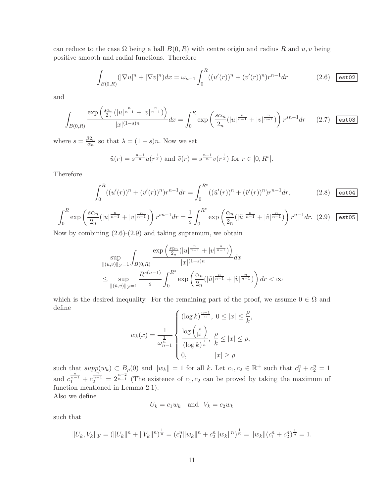can reduce to the case  $\Omega$  being a ball  $B(0, R)$  with centre origin and radius R and u, v being positive smooth and radial functions. Therefore

$$
\int_{B(0,R)} (|\nabla u|^n + |\nabla v|^n) dx = \omega_{n-1} \int_0^R ((u'(r))^n + (v'(r))^n) r^{n-1} dr \qquad (2.6) \quad \text{est02}
$$

and

$$
\int_{B(0,R)} \frac{\exp\left(\frac{s\alpha_n}{2n}(|u|^{\frac{n}{n-1}} + |v|^{\frac{n}{n-1}})\right)}{|x|^{(1-s)n}} dx = \int_0^R \exp\left(\frac{s\alpha_n}{2n}(|u|^{\frac{n}{n-1}} + |v|^{\frac{n}{n-1}})\right) r^{sn-1} dr \qquad (2.7) \quad \text{est 03}
$$

where  $s = \frac{\beta 2_n}{\alpha_n}$  $\frac{\partial z_n}{\partial x_n}$  so that  $\lambda = (1-s)n$ . Now we set

$$
\tilde{u}(r) = s^{\frac{n-1}{n}} u(r^{\frac{1}{s}})
$$
 and  $\tilde{v}(r) = s^{\frac{n-1}{n}} v(r^{\frac{1}{s}})$  for  $r \in [0, R^s]$ .

Therefore

$$
\int_0^R ((u'(r))^n + (v'(r))^n) r^{n-1} dr = \int_0^{R^s} ((\tilde{u}'(r))^n + (\tilde{v}'(r))^n) r^{n-1} dr, \qquad (2.8)
$$

$$
\int_0^R \exp\left(\frac{s\alpha_n}{2_n}(|u|^{\frac{n}{n-1}} + |v|^{\frac{n}{n-1}})\right) r^{sn-1} dr = \frac{1}{s} \int_0^{R^s} \exp\left(\frac{\alpha_n}{2_n}(|\tilde{u}|^{\frac{n}{n-1}} + |\tilde{v}|^{\frac{n}{n-1}})\right) r^{n-1} dr. \tag{2.9}
$$

Now by combining (2.6)-(2.9) and taking supremum, we obtain

$$
\sup_{\|(u,v)\|_{\mathcal{Y}}=1} \int_{B(0,R)} \frac{\exp\left(\frac{s\alpha_n}{2_n}(|u|^{\frac{n}{n-1}}+|v|^{\frac{n}{n-1}})\right)}{|x|^{(1-s)n}} dx
$$
  

$$
\leq \sup_{\|(\tilde{u},\tilde{v})\|_{\mathcal{Y}}=1} \frac{R^{s(n-1)}}{s} \int_0^{R^s} \exp\left(\frac{\alpha_n}{2_n}(|\tilde{u}|^{\frac{n}{n-1}}+|\tilde{v}|^{\frac{n}{n-1}})\right) dr < \infty
$$

which is the desired inequality. For the remaining part of the proof, we assume  $0 \in \Omega$  and define

$$
w_k(x) = \frac{1}{\omega_{n-1}^{\frac{1}{n}}} \begin{cases} (\log k)^{\frac{n-1}{n}}, & 0 \le |x| \le \frac{\rho}{k}, \\ \frac{\log\left(\frac{\rho}{|x|}\right)}{(\log k)^{\frac{1}{n}}}, & \frac{\rho}{k} \le |x| \le \rho, \\ 0, & |x| \ge \rho \end{cases}
$$

such that  $supp(w_k) \subset B_\rho(0)$  and  $||w_k|| = 1$  for all k. Let  $c_1, c_2 \in \mathbb{R}^+$  such that  $c_1^n + c_2^n = 1$ and  $c_1^{\frac{n}{n-1}} + c_2^{\frac{n-1}{n-1}} = 2^{\frac{n-2}{n-1}}$  (The existence of  $c_1, c_2$  can be proved by taking the maximum of function mentioned in Lemma 2.1). Also we define

 $U_k = c_1 w_k$  and  $V_k = c_2 w_k$ 

such that

$$
||U_k, V_k||_{\mathcal{Y}} = (||U_k||^n + ||V_k||^n)^{\frac{1}{n}} = (c_1^n ||w_k||^n + c_2^n ||w_k||^n)^{\frac{1}{n}} = ||w_k|| (c_1^n + c_2^n)^{\frac{1}{n}} = 1.
$$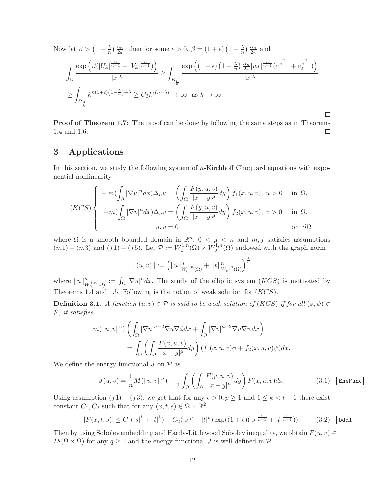Now let  $\beta > (1 - \frac{\lambda}{n})$  $\frac{\lambda}{n}$ )  $\frac{\alpha_n}{2_n}$  $\frac{\alpha_n}{2_n}$ , then for some  $\epsilon > 0$ ,  $\beta = (1 + \epsilon) (1 - \frac{\lambda_n}{n})$  $\frac{\lambda}{n}$ )  $\frac{\alpha_n}{2_n}$  $\frac{\alpha_n}{2_n}$  and

$$
\int_{\Omega} \frac{\exp\left(\beta(|U_k|^{\frac{n}{n-1}} + |V_k|^{\frac{n}{n-1}})\right)}{|x|^\lambda} \ge \int_{B_\frac{\rho}{k}} \frac{\exp\left((1+\epsilon)\left(1-\frac{\lambda}{n}\right)\frac{\alpha_n}{2_n}|w_k|^{\frac{n}{n-1}}(c_1^{\frac{n}{n-1}} + c_2^{\frac{n}{n-1}})\right)}{|x|^\lambda}
$$
  

$$
\ge \int_{B_\frac{\rho}{k}} k^{n(1+\epsilon)(1-\frac{\lambda}{n})+\lambda} \ge C_3 k^{\epsilon(n-\lambda)} \to \infty \text{ as } k \to \infty.
$$

**Proof of Theorem 1.7:** The proof can be done by following the same steps as in Theorems 1.4 and 1.6.  $\Box$ 

 $\Box$ 

## 3 Applications

In this section, we study the following system of n-Kirchhoff Choquard equations with exponential nonlinearity

$$
(KCS)\begin{cases}\n-m(\int_{\Omega}|\nabla u|^n dx)\Delta_n u = \left(\int_{\Omega}\frac{F(y,u,v)}{|x-y|^{\mu}}dy\right)f_1(x,u,v),\ u>0 & \text{in }\Omega, \\
-m(\int_{\Omega}|\nabla v|^n dx)\Delta_n v = \left(\int_{\Omega}\frac{F(y,u,v)}{|x-y|^{\mu}}dy\right)f_2(x,u,v),\ v>0 & \text{in }\Omega, \\
u,v=0 & \text{on }\partial\Omega,\n\end{cases}
$$

where  $\Omega$  is a smooth bounded domain in  $\mathbb{R}^n$ ,  $0 < \mu < n$  and  $m, f$  satisfies assumptions  $(m1) - (m3)$  and  $(f1) - (f5)$ . Let  $\mathcal{P} := W_0^{1,n}$  $W_0^{1,n}(\Omega) \times W_0^{1,n}$  $\mathcal{O}_0^{1,n}(\Omega)$  endowed with the graph norm

$$
||(u,v)||:=\left(||u||^n_{W^{1,n}_0(\Omega)}+||v||^n_{W^{1,n}_0(\Omega)}\right)^{\frac{1}{n}}
$$

where  $||u||_{W_0^{1,n}(\Omega)}^n := \int_{\Omega} |\nabla u|^n dx$ . The study of the elliptic system  $(KCS)$  is motivated by Theorems 1.4 and 1.5. Following is the notion of weak solution for  $(KCS)$ .

**Definition 3.1.** A function  $(u, v) \in \mathcal{P}$  is said to be weak solution of  $(KCS)$  if for all  $(\phi, \psi) \in$ P, it satisfies

$$
m(\|u,v\|^n) \left( \int_{\Omega} |\nabla u|^{n-2} \nabla u \nabla \phi dx + \int_{\Omega} |\nabla v|^{n-2} \nabla v \nabla \psi dx \right)
$$
  
= 
$$
\int_{\Omega} \left( \int_{\Omega} \frac{F(x,u,v)}{|x-y|^{\mu}} dy \right) (f_1(x,u,v)\phi + f_2(x,u,v)\psi) dx.
$$

We define the energy functional  $J$  on  $\mathcal P$  as

$$
J(u,v) = \frac{1}{n}M(||u,v||^n) - \frac{1}{2}\int_{\Omega} \left(\int_{\Omega} \frac{F(y,u,v)}{|x-y|^{\mu}} dy\right) F(x,u,v)dx.
$$
 (3.1) Energy

Using assumption  $(f1) - (f3)$ , we get that for any  $\epsilon > 0, p \ge 1$  and  $1 \le k < l + 1$  there exist constant  $C_1, C_2$  such that for any  $(x, t, s) \in \Omega \times \mathbb{R}^2$ 

$$
|F(x,t,s)| \le C_1(|s|^k + |t|^k) + C_2(|s|^p + |t|^p) \exp((1+\epsilon)(|s|^{\frac{n}{n-1}} + |t|^{\frac{n}{n-1}})). \tag{3.2}
$$
 **bdd1**

Then by using Sobolev embedding and Hardy-Littlewood Sobolev inequality, we obtain  $F(u, v) \in$  $L^q(\Omega \times \Omega)$  for any  $q \geq 1$  and the energy functional J is well defined in  $\mathcal{P}$ .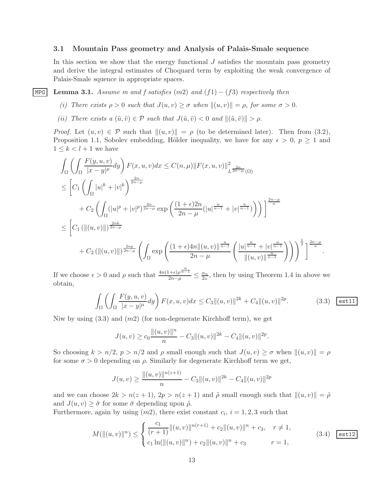#### 3.1 Mountain Pass geometry and Analysis of Palais-Smale sequence

In this section we show that the energy functional  $J$  satisfies the mountain pass geometry and derive the integral estimates of Choquard term by exploiting the weak convergence of Palais-Smale squence in appropriate spaces.

MPG Lemma 3.1. Assume m and f satisfies  $(m2)$  and  $(f1) - (f3)$  respectively then

- (i) There exists  $\rho > 0$  such that  $J(u, v) \ge \sigma$  when  $||(u, v)|| = \rho$ , for some  $\sigma > 0$ .
- (ii) There exists a  $(\tilde{u}, \tilde{v}) \in \mathcal{P}$  such that  $J(\tilde{u}, \tilde{v}) < 0$  and  $\|(\tilde{u}, \tilde{v})\| > \rho$ .

*Proof.* Let  $(u, v) \in \mathcal{P}$  such that  $||(u, v)|| = \rho$  (to be determined later). Then from (3.2), Proposition 1.1, Sobolev embedding, Hölder inequality, we have for any  $\epsilon > 0$ ,  $p \ge 1$  and  $1 \leq k < l + 1$  we have

$$
\int_{\Omega} \left( \int_{\Omega} \frac{F(y, u, v)}{|x - y|^{\mu}} dy \right) F(x, u, v) dx \leq C(n, \mu) ||F(x, u, v)||_{L^{\frac{2n}{2n - \mu}}(\Omega)}^2
$$
\n
$$
\leq \left[ C_1 \left( \int_{\Omega} |u|^k + |v|^k \right)^{\frac{2n}{2n - \mu}}
$$
\n
$$
+ C_2 \left( \int_{\Omega} (|u|^p + |v|^p)^{\frac{2n}{2n - \mu}} \exp \left( \frac{(1 + \epsilon)2n}{2n - \mu} (|u|^{\frac{n}{n - 1}} + |v|^{\frac{n}{n - 1}}) \right) \right) \right]^{\frac{2n - \mu}{n}}
$$
\n
$$
\leq \left[ C_1 \left( ||(u, v)|| \right)^{\frac{2n k}{2n - \mu}}
$$
\n
$$
+ C_2 \left( ||(u, v)|| \right)^{\frac{2n p}{2n - \mu}} \left( \int_{\Omega} \exp \left( \frac{(1 + \epsilon)4n ||(u, v)||^{\frac{n}{n - 1}}}{2n - \mu} \left( \frac{|u|^{\frac{n}{n - 1}} + |v|^{\frac{n}{n - 1}}}{||(u, v)||^{\frac{n}{n - 1}}} \right) \right) \right)^{\frac{1}{2}} \right]^{\frac{2n - \mu}{n}}.
$$

If we choose  $\epsilon > 0$  and  $\rho$  such that  $\frac{4n(1+\epsilon)\rho^{\frac{n}{n-1}}}{2n-\mu} \leq \frac{\alpha_n}{2n}$  $\frac{\alpha_n}{2_n}$ , then by using Theorem 1.4 in above we obtain,

$$
\int_{\Omega} \left( \int_{\Omega} \frac{F(y, u, v)}{|x - y|^{\mu}} dy \right) F(x, u, v) dx \le C_3 \| (u, v) \|^{2k} + C_4 \| (u, v) \|^{2p}.
$$
 (3.3) ~~est11~~

Niw by using  $(3.3)$  and  $(m2)$  (for non-degenerate Kirchhoff term), we get

$$
J(u, v) \ge c_0 \frac{\|(u, v)\|^n}{n} - C_3 \|(u, v)\|^{2k} - C_4 \|(u, v)\|^{2p}.
$$

So choosing  $k > n/2$ ,  $p > n/2$  and  $\rho$  small enough such that  $J(u, v) \geq \sigma$  when  $||(u, v)|| = \rho$ for some  $\sigma > 0$  depending on  $\rho$ . Similarly for degenerate Kirchhoff term we get,

$$
J(u, v) \ge \frac{\|(u, v)\|^{n(z+1)}}{n} - C_3 \|(u, v)\|^{2k} - C_4 \|(u, v)\|^{2p}
$$

and we can choose  $2k > n(z + 1)$ ,  $2p > n(z + 1)$  and  $\tilde{\rho}$  small enough such that  $\|(u, v)\| = \tilde{\rho}$ and  $J(u, v) \geq \tilde{\sigma}$  for some  $\tilde{\sigma}$  depending upon  $\tilde{\rho}$ .

Furthermore, again by using  $(m2)$ , there exist constant  $c_i$ ,  $i = 1, 2, 3$  such that

$$
M(\|(u,v)\|^{n}) \leq \begin{cases} \frac{c_{1}}{(r+1)} \|(u,v)\|^{n(r+1)} + c_{2} \|(u,v)\|^{n} + c_{3}, & r \neq 1, \\ c_{1} \ln(\|(u,v)\|^{n}) + c_{2} \|(u,v)\|^{n} + c_{3} & r = 1, \end{cases}
$$
\n(3.4) **est12**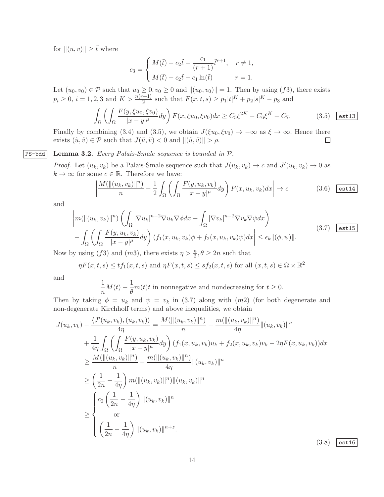for  $||(u, v)|| \geq \tilde{t}$  where

$$
c_3=\left\{\begin{aligned} &M(\tilde{t})-c_2\tilde{t}-\frac{c_1}{(r+1)}\tilde{t}^{r+1},\quad r\neq 1,\\ &M(\tilde{t})-c_2\tilde{t}-c_1\ln(\tilde{t})\qquad\qquad r=1. \end{aligned}\right.
$$

Let  $(u_0, v_0) \in \mathcal{P}$  such that  $u_0 \geq 0, v_0 \geq 0$  and  $||(u_0, v_0)|| = 1$ . Then by using  $(f3)$ , there exists  $p_i \ge 0$ ,  $i = 1, 2, 3$  and  $K > \frac{n(r+1)}{2}$  such that  $F(x, t, s) \ge p_1|t|^K + p_2|s|^K - p_3$  and

$$
\int_{\Omega} \left( \int_{\Omega} \frac{F(y, \xi u_0, \xi v_0)}{|x - y|^{\mu}} dy \right) F(x, \xi u_0, \xi v_0) dx \ge C_5 \xi^{2K} - C_6 \xi^{K} + C_7. \tag{3.5}
$$

Finally by combining (3.4) and (3.5), we obtain  $J(\xi u_0, \xi v_0) \to -\infty$  as  $\xi \to \infty$ . Hence there exists  $(\tilde{u}, \tilde{v}) \in \mathcal{P}$  such that  $J(\tilde{u}, \tilde{v}) < 0$  and  $\|(\tilde{u}, \tilde{v})\| > \rho$ .  $\Box$ 

#### $PS$ -bdd | Lemma 3.2. Every Palais-Smale sequence is bounded in  $P$ .

*Proof.* Let  $(u_k, v_k)$  be a Palais-Smale sequence such that  $J(u_k, v_k) \to c$  and  $J'(u_k, v_k) \to 0$  as  $k \to \infty$  for some  $c \in \mathbb{R}$ . Therefore we have:

$$
\left| \frac{M(\|(u_k, v_k)\|^n)}{n} - \frac{1}{2} \int_{\Omega} \left( \int_{\Omega} \frac{F(y, u_k, v_k)}{|x - y|^{\mu}} dy \right) F(x, u_k, v_k) dx \right| \to c \tag{3.6} \quad \text{(3.6)}
$$

and

$$
\left| m(\|(u_k, v_k)\|^n) \left( \int_{\Omega} |\nabla u_k|^{n-2} \nabla u_k \nabla \phi dx + \int_{\Omega} |\nabla v_k|^{n-2} \nabla v_k \nabla \psi dx \right) \right|
$$
\n
$$
- \int_{\Omega} \left( \int_{\Omega} \frac{F(y, u_k, v_k)}{|x - y|^{\mu}} dy \right) (f_1(x, u_k, v_k)\phi + f_2(x, u_k, v_k)\psi) dx \le \epsilon_k \| (\phi, \psi) \|.
$$
\n(3.7)  $\boxed{\text{est15}}$ 

Now by using (f3) and (m3), there exists  $\eta > \frac{n}{2}, \theta \ge 2n$  such that

$$
\eta F(x,t,s) \leq tf_1(x,t,s)
$$
 and  $\eta F(x,t,s) \leq sf_2(x,t,s)$  for all  $(x,t,s) \in \Omega \times \mathbb{R}^2$ 

and

$$
\frac{1}{n}M(t) - \frac{1}{\theta}m(t)t
$$
 in nonnegative and nondecreasing for  $t \ge 0$ .

Then by taking  $\phi = u_k$  and  $\psi = v_k$  in (3.7) along with  $(m2)$  (for both degenerate and non-degenerate Kirchhoff terms) and above inequalities, we obtain

$$
J(u_k, v_k) - \frac{\langle J'(u_k, v_k), (u_k, v_k) \rangle}{4\eta} = \frac{M(||(u_k, v_k)||^n)}{n} - \frac{m(||(u_k, v_k)||^n)}{4\eta} ||(u_k, v_k)||^n
$$
  
+ 
$$
\frac{1}{4\eta} \int_{\Omega} \left( \int_{\Omega} \frac{F(y, u_k, v_k)}{|x - y|^{\mu}} dy \right) (f_1(x, u_k, v_k)u_k + f_2(x, u_k, v_k)v_k - 2\eta F(x, u_k, v_k))dx
$$
  

$$
\geq \frac{M(||(u_k, v_k)||^n)}{n} - \frac{m(||(u_k, v_k)||^n)}{4\eta} ||(u_k, v_k)||^n
$$
  

$$
\geq \left( \frac{1}{2n} - \frac{1}{4\eta} \right) m(||(u_k, v_k)||^n) ||(u_k, v_k)||^n
$$
  

$$
\geq \begin{cases} c_0 \left( \frac{1}{2n} - \frac{1}{4\eta} \right) ||(u_k, v_k)||^n \\ \text{or} \\ \left( \frac{1}{2n} - \frac{1}{4\eta} \right) ||(u_k, v_k)||^{n+\varepsilon}. \end{cases}
$$

 $(3.8)$  est16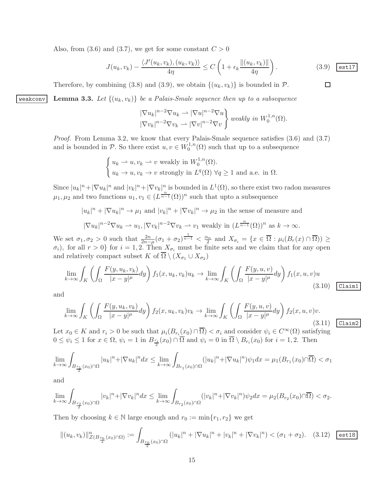Also, from (3.6) and (3.7), we get for some constant  $C > 0$ 

$$
J(u_k, v_k) - \frac{\langle J'(u_k, v_k), (u_k, v_k) \rangle}{4\eta} \le C \left( 1 + \epsilon_k \frac{\|(u_k, v_k)\|}{4\eta} \right). \tag{3.9}
$$

Therefore, by combining (3.8) and (3.9), we obtain  $\{(u_k, v_k)\}\$ is bounded in  $\mathcal{P}$ .

weakconv Lemma 3.3. Let  $\{(u_k, v_k)\}\$ be a Palais-Smale sequence then up to a subsequence

$$
\frac{|\nabla u_k|^{n-2}\nabla u_k\rightharpoonup |\nabla u|^{n-2}\nabla u}{|\nabla v_k|^{n-2}\nabla v_k\rightharpoonup |\nabla v|^{n-2}\nabla v} \bigg\} \text{ weakly in } W_0^{1,n}(\Omega).
$$

Proof. From Lemma 3.2, we know that every Palais-Smale sequence satisfies (3.6) and (3.7) and is bounded in P. So there exist  $u, v \in W_0^{1,n}$  $\mathcal{O}_0^{1,n}(\Omega)$  such that up to a subsequence

$$
\begin{cases} u_k \to u, v_k \to v \text{ weakly in } W_0^{1,n}(\Omega). \\ u_k \to u, v_k \to v \text{ strongly in } L^q(\Omega) \ \forall q \ge 1 \text{ and a.e. in } \Omega. \end{cases}
$$

Since  $|u_k|^n + |\nabla u_k|^n$  and  $|v_k|^n + |\nabla v_k|^n$  is bounded in  $L^1(\Omega)$ , so there exist two radon measures  $\mu_1, \mu_2$  and two functions  $u_1, v_1 \in (L^{\frac{n}{n-1}}(\Omega))^n$  such that upto a subsequence

$$
|u_k|^n + |\nabla u_k|^n \to \mu_1 \text{ and } |v_k|^n + |\nabla v_k|^n \to \mu_2 \text{ in the sense of measure and}
$$
  

$$
|\nabla u_k|^{n-2} \nabla u_k \to u_1, |\nabla v_k|^{n-2} \nabla v_k \to v_1 \text{ weakly in } (L^{\frac{n}{n-1}}(\Omega))^n \text{ as } k \to \infty.
$$

We set  $\sigma_1, \sigma_2 > 0$  such that  $\frac{2n}{2n-\mu}(\sigma_1 + \sigma_2)^{\frac{1}{n-1}} < \frac{\alpha_n}{2}$  and  $X_{\sigma_i} = \{x \in \overline{\Omega} : \mu_i(B_r(x) \cap \overline{\Omega}) \geq 0\}$  $(\sigma_i)$ , for all  $r > 0$  for  $i = 1, 2$ . Then  $X_{\sigma_i}$  must be finite sets and we claim that for any open and relatively compact subset K of  $\Omega \setminus (X_{\sigma_1} \cup X_{\sigma_2})$ 

$$
\lim_{k \to \infty} \int_{K} \left( \int_{\Omega} \frac{F(y, u_k, v_k)}{|x - y|^{\mu}} dy \right) f_1(x, u_k, v_k) u_k \to \lim_{k \to \infty} \int_{K} \left( \int_{\Omega} \frac{F(y, u, v)}{|x - y|^{\mu}} dy \right) f_1(x, u, v) u \tag{3.10} \boxed{\text{Claim1}}
$$

and

$$
\lim_{k \to \infty} \int_{K} \left( \int_{\Omega} \frac{F(y, u_k, v_k)}{|x - y|^{\mu}} dy \right) f_2(x, u_k, v_k) v_k \to \lim_{k \to \infty} \int_{K} \left( \int_{\Omega} \frac{F(y, u, v)}{|x - y|^{\mu}} dy \right) f_2(x, u, v) v.
$$
\n(3.

Let  $x_0 \in K$  and  $r_i > 0$  be such that  $\mu_i(B_{r_i}(x_0) \cap \overline{\Omega}) < \sigma_i$  and consider  $\psi_i \in C^{\infty}(\Omega)$  satisfying  $0 \leq \psi_i \leq 1$  for  $x \in \Omega$ ,  $\psi_i = 1$  in  $B_{\frac{r_i}{2}}(x_0) \cap \Omega$  and  $\psi_i = 0$  in  $\Omega \setminus B_{r_i}(x_0)$  for  $i = 1, 2$ . Then

$$
\lim_{k \to \infty} \int_{B_{\frac{r_1}{2}}(x_0) \cap \Omega} |u_k|^n + |\nabla u_k|^n dx \le \lim_{k \to \infty} \int_{B_{r_1}(x_0) \cap \Omega} (|u_k|^n + |\nabla u_k|^n) \psi_1 dx = \mu_1(B_{r_1}(x_0) \cap \overline{\Omega}) < \sigma_1
$$

and

$$
\lim_{k\rightarrow\infty}\int_{B_{\frac{r_2}{2}}(x_0)\cap\Omega}|v_k|^n+|\nabla v_k|^ndx\leq \lim_{k\rightarrow\infty}\int_{B_{r_2}(x_0)\cap\Omega}(|v_k|^n+|\nabla v_k|^n)\psi_2dx=\mu_2(B_{r_2}(x_0)\cap\overline{\Omega})<\sigma_2.
$$

Then by choosing  $k \in \mathbb{N}$  large enough and  $r_0 := \min\{r_1, r_2\}$  we get

$$
||(u_k, v_k)||_{\mathcal{Z}(B_{\frac{r_0}{2}}(x_0)\cap\Omega)}^n := \int_{B_{\frac{r_0}{2}}(x_0)\cap\Omega} (|u_k|^n + |\nabla u_k|^n + |v_k|^n + |\nabla v_k|^n) < (\sigma_1 + \sigma_2). \quad (3.12)
$$

(3.11) Claim2

 $\Box$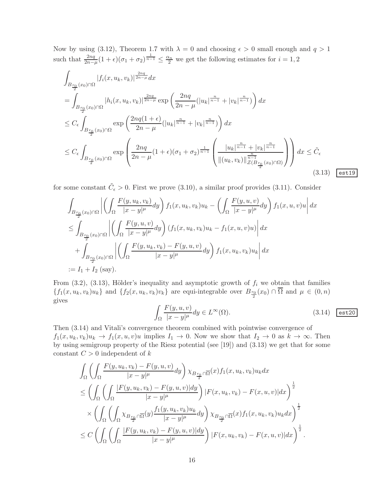Now by using (3.12), Theorem 1.7 with  $\lambda = 0$  and choosing  $\epsilon > 0$  small enough and  $q > 1$ such that  $\frac{2nq}{2n-\mu}(1+\epsilon)(\sigma_1+\sigma_2)^{\frac{1}{n-1}} \leq \frac{\alpha_n}{2}$  we get the following estimates for  $i=1,2$ 

$$
\int_{B_{\frac{r_0}{2}}(x_0)\cap\Omega} |f_i(x, u_k, v_k)|^{\frac{2nq}{2n-\mu}} dx
$$
\n
$$
= \int_{B_{\frac{r_0}{2}}(x_0)\cap\Omega} |h_i(x, u_k, v_k)|^{\frac{2nq}{2n-\mu}} \exp\left(\frac{2nq}{2n-\mu} (|u_k|^{\frac{n}{n-1}} + |v_k|^{\frac{n}{n-1}})\right) dx
$$
\n
$$
\leq C_{\epsilon} \int_{B_{\frac{r_0}{2}}(x_0)\cap\Omega} \exp\left(\frac{2nq(1+\epsilon)}{2n-\mu} (|u_k|^{\frac{n}{n-1}} + |v_k|^{\frac{n}{n-1}})\right) dx
$$
\n
$$
\leq C_{\epsilon} \int_{B_{\frac{r_0}{2}}(x_0)\cap\Omega} \exp\left(\frac{2nq}{2n-\mu} (1+\epsilon)(\sigma_1+\sigma_2)^{\frac{1}{n-1}} \left(\frac{|u_k|^{\frac{n}{n-1}} + |v_k|^{\frac{n}{n-1}}}{\|(u_k, v_k)\|_{\mathcal{Z}(B_{\frac{r_0}{2}}(x_0)\cap\Omega)}^{\frac{n}{n-1}}}\right)\right) dx \leq \tilde{C}_{\epsilon}
$$
\n(3.13)  $\text{est 19}$ 

for some constant  $\tilde{C}_{\epsilon} > 0$ . First we prove (3.10), a similar proof provides (3.11). Consider

$$
\int_{B_{\frac{r_0}{2}}(x_0)\cap\Omega} \left| \left( \int_{\Omega} \frac{F(y, u_k, v_k)}{|x - y|^{\mu}} dy \right) f_1(x, u_k, v_k) u_k - \left( \int_{\Omega} \frac{F(y, u, v)}{|x - y|^{\mu}} dy \right) f_1(x, u, v) u \right| dx
$$
\n
$$
\leq \int_{B_{\frac{r_0}{2}}(x_0)\cap\Omega} \left| \left( \int_{\Omega} \frac{F(y, u, v)}{|x - y|^{\mu}} dy \right) (f_1(x, u_k, v_k) u_k - f_1(x, u, v) u) \right| dx
$$
\n
$$
+ \int_{B_{\frac{r_0}{2}}(x_0)\cap\Omega} \left| \left( \int_{\Omega} \frac{F(y, u_k, v_k) - F(y, u, v)}{|x - y|^{\mu}} dy \right) f_1(x, u_k, v_k) u_k \right| dx
$$
\n
$$
:= I_1 + I_2 \text{ (say)}.
$$

From  $(3.2)$ ,  $(3.13)$ , Hölder's inequality and asymptotic growth of  $f_i$  we obtain that families  $\{f_1(x, u_k, v_k)u_k\}$  and  $\{f_2(x, u_k, v_k)v_k\}$  are equi-integrable over  $B_{\frac{r_0}{2}}(x_0) \cap \Omega$  and  $\mu \in (0, n)$ gives

$$
\int_{\Omega} \frac{F(y, u, v)}{|x - y|^{\mu}} dy \in L^{\infty}(\Omega).
$$
\n(3.14)  $\boxed{\text{est20}}$ 

Then (3.14) and Vitali's convergence theorem combined with pointwise convergence of  $f_1(x, u_k, v_k)u_k \to f_1(x, u, v)u$  implies  $I_1 \to 0$ . Now we show that  $I_2 \to 0$  as  $k \to \infty$ . Then by using semigroup property of the Riesz potential (see [19]) and (3.13) we get that for some constant  $C > 0$  independent of k

$$
\int_{\Omega} \left( \int_{\Omega} \frac{F(y, u_k, v_k) - F(y, u, v)}{|x - y|^{\mu}} dy \right) \chi_{B_{\frac{r_0}{2}} \cap \overline{\Omega}}(x) f_1(x, u_k, v_k) u_k dx \n\leq \left( \int_{\Omega} \left( \int_{\Omega} \frac{|F(y, u_k, v_k) - F(y, u, v)| dy}{|x - y|^{\mu}} \right) |F(x, u_k, v_k) - F(x, u, v)| dx \right)^{\frac{1}{2}} \n\times \left( \int_{\Omega} \left( \int_{\Omega} \chi_{B_{\frac{r_0}{2}} \cap \overline{\Omega}}(y) \frac{f_1(y, u_k, v_k) u_k}{|x - y|^{\mu}} dy \right) \chi_{B_{\frac{r_0}{2}} \cap \overline{\Omega}}(x) f_1(x, u_k, v_k) u_k dx \right)^{\frac{1}{2}} \n\leq C \left( \int_{\Omega} \left( \int_{\Omega} \frac{|F(y, u_k, v_k) - F(y, u, v)| dy}{|x - y|^{\mu}} \right) |F(x, u_k, v_k) - F(x, u, v)| dx \right)^{\frac{1}{2}}.
$$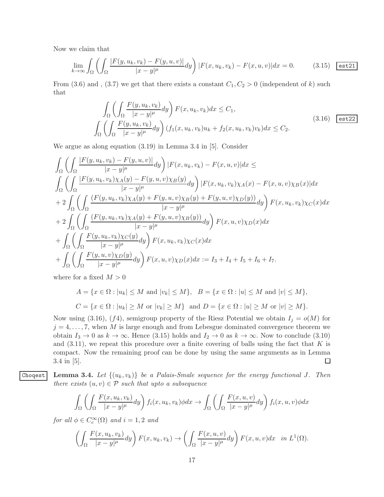Now we claim that

$$
\lim_{k \to \infty} \int_{\Omega} \left( \int_{\Omega} \frac{|F(y, u_k, v_k) - F(y, u, v)|}{|x - y|^{\mu}} dy \right) |F(x, u_k, v_k) - F(x, u, v)| dx = 0. \tag{3.15} \quad \text{(3.16)}
$$

From (3.6) and , (3.7) we get that there exists a constant  $C_1, C_2 > 0$  (independent of k) such that

$$
\int_{\Omega} \left( \int_{\Omega} \frac{F(y, u_k, v_k)}{|x - y|^{\mu}} dy \right) F(x, u_k, v_k) dx \le C_1,
$$
\n
$$
\int_{\Omega} \left( \int_{\Omega} \frac{F(y, u_k, v_k)}{|x - y|^{\mu}} dy \right) (f_1(x, u_k, v_k)u_k + f_2(x, u_k, v_k)v_k) dx \le C_2.
$$
\n(3.16)  $\boxed{\text{est22}}$ 

We argue as along equation (3.19) in Lemma 3.4 in [5]. Consider

$$
\int_{\Omega} \left( \int_{\Omega} \frac{|F(y, u_k, v_k) - F(y, u, v)|}{|x - y|^{\mu}} dy \right) |F(x, u_k, v_k) - F(x, u, v)| dx \le
$$
\n
$$
\int_{\Omega} \left( \int_{\Omega} \frac{|F(y, u_k, v_k) \chi_A(y) - F(y, u, v) \chi_B(y)}{|x - y|^{\mu}} dy \right) |F(x, u_k, v_k) \chi_A(x) - F(x, u, v) \chi_B(x)| dx
$$
\n
$$
+ 2 \int_{\Omega} \left( \int_{\Omega} \frac{(F(y, u_k, v_k) \chi_A(y) + F(y, u, v) \chi_B(y) + F(y, u, v) \chi_D(y))}{|x - y|^{\mu}} dy \right) F(x, u_k, v_k) \chi_C(x) dx
$$
\n
$$
+ 2 \int_{\Omega} \left( \int_{\Omega} \frac{(F(y, u_k, v_k) \chi_A(y) + F(y, u, v) \chi_B(y))}{|x - y|^{\mu}} dy \right) F(x, u, v) \chi_D(x) dx
$$
\n
$$
+ \int_{\Omega} \left( \int_{\Omega} \frac{F(y, u_k, v_k) \chi_C(y)}{|x - y|^{\mu}} dy \right) F(x, u_k, v_k) \chi_C(x) dx
$$
\n
$$
+ \int_{\Omega} \left( \int_{\Omega} \frac{F(y, u, v) \chi_D(y)}{|x - y|^{\mu}} dy \right) F(x, u, v) \chi_D(x) dx := I_3 + I_4 + I_5 + I_6 + I_7.
$$

where for a fixed  $M > 0$ 

$$
A = \{x \in \Omega : |u_k| \le M \text{ and } |v_k| \le M\}, \quad B = \{x \in \Omega : |u| \le M \text{ and } |v| \le M\},
$$
  

$$
C = \{x \in \Omega : |u_k| \ge M \text{ or } |v_k| \ge M\} \text{ and } D = \{x \in \Omega : |u| \ge M \text{ or } |v| \ge M\}.
$$

Now using (3.16), (f4), semigroup property of the Riesz Potential we obtain  $I_j = o(M)$  for  $j = 4, \ldots, 7$ , when M is large enough and from Lebesgue dominated convergence theorem we obtain  $I_3 \to 0$  as  $k \to \infty$ . Hence (3.15) holds and  $I_2 \to 0$  as  $k \to \infty$ . Now to conclude (3.10) and  $(3.11)$ , we repeat this procedure over a finite covering of balls using the fact that K is compact. Now the remaining proof can be done by using the same arguments as in Lemma 3.4 in [5].  $\Box$ 

Choqest Lemma 3.4. Let  $\{(u_k, v_k)\}\$ be a Palais-Smale sequence for the energy functional J. Then there exists  $(u, v) \in \mathcal{P}$  such that upto a subsequence

$$
\int_{\Omega} \left( \int_{\Omega} \frac{F(x, u_k, v_k)}{|x - y|^{\mu}} dy \right) f_i(x, u_k, v_k) \phi dx \to \int_{\Omega} \left( \int_{\Omega} \frac{F(x, u, v)}{|x - y|^{\mu}} dy \right) f_i(x, u, v) \phi dx
$$

for all  $\phi \in C_c^{\infty}(\Omega)$  and  $i = 1, 2$  and

$$
\left(\int_{\Omega} \frac{F(x, u_k, v_k)}{|x - y|^{\mu}} dy\right) F(x, u_k, v_k) \to \left(\int_{\Omega} \frac{F(x, u, v)}{|x - y|^{\mu}} dy\right) F(x, u, v) dx \text{ in } L^1(\Omega).
$$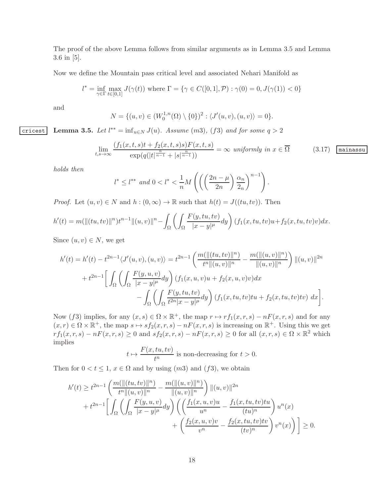The proof of the above Lemma follows from similar arguments as in Lemma 3.5 and Lemma 3.6 in [5].

Now we define the Mountain pass critical level and associated Nehari Manifold as

$$
l^* = \inf_{\gamma \in \Gamma} \max_{t \in [0,1]} J(\gamma(t))
$$
 where  $\Gamma = \{ \gamma \in C([0,1], \mathcal{P}) : \gamma(0) = 0, J(\gamma(1)) < 0 \}$ 

and

$$
N = \{(u, v) \in (W_0^{1,n}(\Omega) \setminus \{0\})^2 : \langle J'(u, v), (u, v) \rangle = 0\}.
$$

cricest Lemma 3.5. Let  $l^{**} = \inf_{u \in N} J(u)$ . Assume  $(m3)$ ,  $(f3)$  and for some  $q > 2$ 

$$
\lim_{t,s \to \infty} \frac{(f_1(x,t,s)t + f_2(x,t,s)s)F(x,t,s)}{\exp(q(|t|^{\frac{n}{n-1}} + |s|^{\frac{n}{n-1}}))} = \infty \text{ uniformly in } x \in \overline{\Omega}
$$
 (3.17)  $\boxed{\text{minassu}}$ 

holds then

$$
l^* \leq l^{**} \text{ and } 0 < l^* < \frac{1}{n} M\left( \left( \left(\frac{2n-\mu}{2n}\right) \frac{\alpha_n}{2_n} \right)^{n-1} \right).
$$

*Proof.* Let  $(u, v) \in N$  and  $h : (0, \infty) \to \mathbb{R}$  such that  $h(t) = J((tu, tv))$ . Then

$$
h'(t) = m(||(tu, tv)||n)tn-1||(u, v)||n - \int_{\Omega} \left( \int_{\Omega} \frac{F(y, tu, tv)}{|x - y|^{\mu}} dy \right) (f_1(x, tu, tv)u + f_2(x, tu, tv)v) dx.
$$

Since  $(u, v) \in N$ , we get

$$
h'(t) = h'(t) - t^{2n-1} \langle J'(u, v), (u, v) \rangle = t^{2n-1} \left( \frac{m(||(tu, tv)||^n)}{t^n ||(u, v)||^n} - \frac{m(||(u, v)||^n)}{||(u, v)||^n} \right) ||(u, v)||^{2n}
$$
  
+ 
$$
t^{2n-1} \left[ \int_{\Omega} \left( \int_{\Omega} \frac{F(y, u, v)}{|x - y|^{\mu}} dy \right) (f_1(x, u, v)u + f_2(x, u, v)v) dx - \int_{\Omega} \left( \int_{\Omega} \frac{F(y, tu, tv)}{t^{2n} |x - y|^{\mu}} dy \right) (f_1(x, tu, tv)tu + f_2(x, tu, tv)tv) dx \right].
$$

Now (f3) implies, for any  $(x, s) \in \Omega \times \mathbb{R}^+$ , the map  $r \mapsto rf_1(x, r, s) - nF(x, r, s)$  and for any  $(x,r) \in \Omega \times \mathbb{R}^+$ , the map  $s \mapsto sf_2(x,r,s) - nF(x,r,s)$  is increasing on  $\mathbb{R}^+$ . Using this we get  $r f_1(x,r,s) - nF(x,r,s) \geq 0$  and  $s f_2(x,r,s) - nF(x,r,s) \geq 0$  for all  $(x,r,s) \in \Omega \times \mathbb{R}^2$  which implies

$$
t \mapsto \frac{F(x, tu, tv)}{t^n}
$$
 is non-decreasing for  $t > 0$ .

Then for  $0 < t \leq 1$ ,  $x \in \Omega$  and by using  $(m3)$  and  $(f3)$ , we obtain

$$
h'(t) \ge t^{2n-1} \left( \frac{m(||(tu,tv)||^n)}{t^n ||(u,v)||^n} - \frac{m(||(u,v)||^n)}{||(u,v)||^n} \right) ||(u,v)||^{2n} + t^{2n-1} \left[ \int_{\Omega} \left( \int_{\Omega} \frac{F(y,u,v)}{|x-y|^{\mu}} dy \right) \left( \left( \frac{f_1(x,u,v)u}{u^n} - \frac{f_1(x,tu,tv)tu}{(tu)^n} \right) u^n(x) + \left( \frac{f_2(x,u,v)v}{v^n} - \frac{f_2(x,tu,tv)tv}{(tv)^n} \right) v^n(x) \right) \right] \ge 0.
$$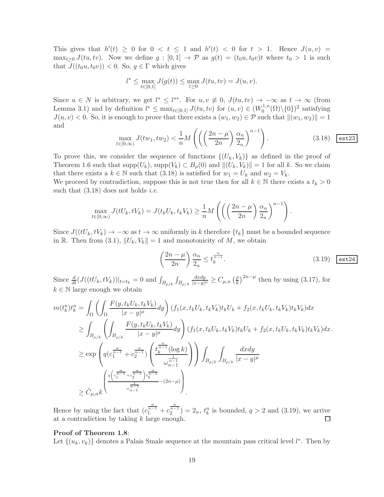This gives that  $h'(t) \geq 0$  for  $0 < t \leq 1$  and  $h'(t) < 0$  for  $t > 1$ . Hence  $J(u, v) =$  $\max_{t>0} J(tu, tv)$ . Now we define  $g : [0, 1] \to \mathcal{P}$  as  $g(t) = (t_0u, t_0v)t$  where  $t_0 > 1$  is such that  $J((t_0u, t_0v)) < 0$ . So,  $g \in \Gamma$  which gives

$$
l^*\leq \max_{t\in[0,1]}J(g(t))\leq \max_{t\geq 0}J(tu,tv)=J(u,v).
$$

Since  $u \in N$  is arbitrary, we get  $l^* \leq l^{**}$ . For  $u, v \neq 0$ ,  $J(tu, tv) \to -\infty$  as  $t \to \infty$  (from Lemma 3.1) and by definition  $l^* \leq \max_{t \in [0,1]} J(tu, tv)$  for  $(u, v) \in (W_0^{1,n})$  $C_0^{1,n}(\Omega)\backslash\{0\})^2$  satisfying  $J(u, v) < 0$ . So, it is enough to prove that there exists a  $(w_1, w_2) \in \mathcal{P}$  such that  $\|(w_1, w_2)\| = 1$ and

$$
\max_{t \in [0,\infty)} J(tw_1, tw_2) < \frac{1}{n} M\left( \left( \left(\frac{2n-\mu}{2n}\right) \frac{\alpha_n}{2_n} \right)^{n-1} \right). \tag{3.18}
$$

To prove this, we consider the sequence of functions  $\{(U_k, V_k)\}\$  as defined in the proof of Theorem 1.6 such that  $\text{supp}(U_k)$ ,  $\text{supp}(V_k) \subset B_\rho(0)$  and  $||(U_k, V_k)|| = 1$  for all k. So we claim that there exists a  $k \in \mathbb{N}$  such that (3.18) is satisfied for  $w_1 = U_k$  and  $w_2 = V_k$ .

We proceed by contradiction, suppose this is not true then for all  $k \in \mathbb{N}$  there exists a  $t_k > 0$ such that  $(3.18)$  does not holds *i.e.* 

$$
\max_{t \in [0,\infty)} J(tU_k, tV_k) = J(t_kU_k, t_kV_k) \ge \frac{1}{n} M\left(\left(\left(\frac{2n-\mu}{2n}\right)\frac{\alpha_n}{2_n}\right)^{n-1}\right).
$$

Since  $J((tU_k, tV_k) \to -\infty$  as  $t \to \infty$  uniformly in k therefore  $\{t_k\}$  must be a bounded sequence in R. Then from (3.1),  $||U_k, V_k|| = 1$  and monotonicity of M, we obtain

$$
\left(\frac{2n-\mu}{2n}\right)\frac{\alpha_n}{2_n} \le t_k^{\frac{n}{n-1}}.\tag{3.19}
$$

Since  $\frac{d}{dt}(J((tU_k, tV_k))|_{t=t_k} = 0$  and  $\int_{B_{\rho/k}} \int_{B_{\rho/k}}$ dxdy  $\frac{dxdy}{|x-y|^{\mu}} \geq C_{\mu,n} \left(\frac{\rho}{k}\right)$  $\left(\frac{\rho}{k}\right)^{2n-\mu}$  then by using (3.17), for  $k \in \mathbb{N}$  large enough we obtain

$$
m(t_k^n)t_k^n = \int_{\Omega} \left( \int_{\Omega} \frac{F(y, t_k U_k, t_k V_k)}{|x - y|^{\mu}} dy \right) (f_1(x, t_k U_k, t_k V_k)t_k U_k + f_2(x, t_k U_k, t_k V_k)t_k V_k) dx
$$
  
\n
$$
\geq \int_{B_{\rho/k}} \left( \int_{B_{\rho/k}} \frac{F(y, t_k U_k, t_k V_k)}{|x - y|^{\mu}} dy \right) (f_1(x, t_k U_k, t_k V_k)t_k U_k + f_2(x, t_k U_k, t_k V_k)t_k V_k) dx.
$$
  
\n
$$
\geq \exp \left( q(c_1^{\frac{n}{n-1}} + c_2^{\frac{n}{n-1}}) \left( \frac{t_k^{\frac{n}{n-1}} (\log k)}{\omega_{n-1}^{\frac{1}{n-1}}} \right) \right) \int_{B_{\rho/k}} \int_{B_{\rho/k}} \frac{dx dy}{|x - y|^{\mu}}
$$
  
\n
$$
\geq \tilde{C}_{\mu,nk} \left( \frac{q\left(c_1^{\frac{n}{n-1}} + c_2^{\frac{n}{n-1}}\right) t_k^{\frac{n}{n-1}}}{\omega_{n-1}^{\frac{1}{n-1}}} - (2n - \mu) \right)
$$

Hence by using the fact that  $(c_1^{\frac{n}{n-1}} + c_2^{\frac{n}{n-1}}) = 2_n$ ,  $t_k^n$  is bounded,  $q > 2$  and  $(3.19)$ , we arrive at a contradiction by taking  $k$  large enough.  $\Box$ 

#### Proof of Theorem 1.8:

Let  $\{(u_k, v_k)\}\)$  denotes a Palais Smale sequence at the mountain pass critical level  $l^*$ . Then by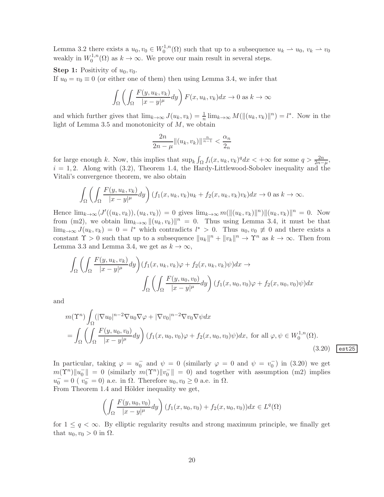Lemma 3.2 there exists a  $u_0, v_0 \in W_0^{1,n}$  $u_0^{1,n}(\Omega)$  such that up to a subsequence  $u_k \rightharpoonup u_0, v_k \rightharpoonup v_0$ weakly in  $W_0^{1,n}$  $0^{1,n}(\Omega)$  as  $k \to \infty$ . We prove our main result in several steps.

**Step 1:** Positivity of  $u_0, v_0$ .

If  $u_0 = v_0 \equiv 0$  (or either one of them) then using Lemma 3.4, we infer that

$$
\int_{\Omega} \left( \int_{\Omega} \frac{F(y, u_k, v_k)}{|x - y|^{\mu}} dy \right) F(x, u_k, v_k) dx \to 0 \text{ as } k \to \infty
$$

and which further gives that  $\lim_{k\to\infty} J(u_k, v_k) = \frac{1}{n} \lim_{k\to\infty} M(||(u_k, v_k)||^n) = l^*$ . Now in the light of Lemma 3.5 and monotonicity of  $M$ , we obtain

$$
\frac{2n}{2n-\mu}||(u_k, v_k)||^{\frac{n}{n-1}} < \frac{\alpha_n}{2_n}
$$

for large enough k. Now, this implies that  $\sup_k \int_{\Omega} f_i(x, u_k, v_k)^q dx < +\infty$  for some  $q > \frac{2n}{2n-\mu}$ ,  $i = 1, 2$ . Along with (3.2), Theorem 1.4, the Hardy-Littlewood-Sobolev inequality and the Vitali's convergence theorem, we also obtain

$$
\int_{\Omega} \left( \int_{\Omega} \frac{F(y, u_k, v_k)}{|x - y|^{\mu}} dy \right) (f_1(x, u_k, v_k)u_k + f_2(x, u_k, v_k)v_k) dx \to 0 \text{ as } k \to \infty.
$$

Hence  $\lim_{k\to\infty} \langle J'(u_k, v_k) \rangle, (u_k, v_k) \rangle = 0$  gives  $\lim_{k\to\infty} m(||u_k, v_k||^2 ||u_k, v_k)||^2 = 0$ . Now from (m2), we obtain  $\lim_{k\to\infty} ||(u_k, v_k)||^n = 0$ . Thus using Lemma 3.4, it must be that  $\lim_{k\to\infty} J(u_k, v_k) = 0 = l^*$  which contradicts  $l^* > 0$ . Thus  $u_0, v_0 \neq 0$  and there exists a constant  $\Upsilon > 0$  such that up to a subsequence  $||u_k||^n + ||v_k||^n \to \Upsilon^n$  as  $k \to \infty$ . Then from Lemma 3.3 and Lemma 3.4, we get as  $k \to \infty$ ,

$$
\int_{\Omega} \left( \int_{\Omega} \frac{F(y, u_k, v_k)}{|x - y|^{\mu}} dy \right) (f_1(x, u_k, v_k)\varphi + f_2(x, u_k, v_k)\psi) dx \to
$$
\n
$$
\int_{\Omega} \left( \int_{\Omega} \frac{F(y, u_0, v_0)}{|x - y|^{\mu}} dy \right) (f_1(x, u_0, v_0)\varphi + f_2(x, u_0, v_0)\psi) dx
$$

and

$$
m(\Upsilon^{n}) \int_{\Omega} (|\nabla u_{0}|^{n-2} \nabla u_{0} \nabla \varphi + |\nabla v_{0}|^{n-2} \nabla v_{0} \nabla \psi dx
$$
  
= 
$$
\int_{\Omega} \left( \int_{\Omega} \frac{F(y, u_{0}, v_{0})}{|x - y|^{\mu}} dy \right) (f_{1}(x, u_{0}, v_{0}) \varphi + f_{2}(x, u_{0}, v_{0}) \psi) dx, \text{ for all } \varphi, \psi \in W_{0}^{1,n}(\Omega).
$$
 (3.20)

In particular, taking  $\varphi = u_0^-$  and  $\psi = 0$  (similarly  $\varphi = 0$  and  $\psi = v_0^-$ ) in (3.20) we get  $m(\Upsilon^n) \|u_0^-\| = 0$  (similarly  $m(\Upsilon^n) \|v_0^-\| = 0$ ) and together with assumption (m2) implies  $u_0^- = 0$  ( $v_0^- = 0$ ) a.e. in  $\Omega$ . Therefore  $u_0, v_0 \ge 0$  a.e. in  $\Omega$ . From Theorem 1.4 and Hölder inequality we get,

$$
\left(\int_{\Omega} \frac{F(y, u_0, v_0)}{|x - y|^{\mu}} dy\right) (f_1(x, u_0, v_0) + f_2(x, u_0, v_0)) dx \in L^{q}(\Omega)
$$

for  $1 \leq q < \infty$ . By elliptic regularity results and strong maximum principle, we finally get that  $u_0, v_0 > 0$  in  $\Omega$ .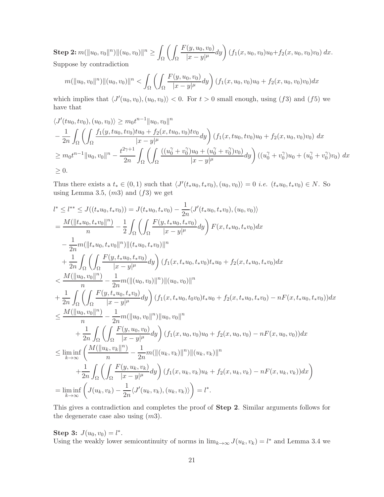$\textbf{Step 2: } m( \|u_0, v_0\|^n ) \| (u_0, v_0) \|^n \geq 0$ Ω  $\sqrt{2}$ Ω  $F(y, u_0, v_0)$  $\frac{f(y, u_0, v_0)}{|x - y|^{\mu}} dy \bigg) (f_1(x, u_0, v_0)u_0 + f_2(x, u_0, v_0)v_0) dx.$ Suppose by contradiction

$$
m(||u_0, v_0||n)||(u_0, v_0)||n < \int_{\Omega} \left( \int_{\Omega} \frac{F(y, u_0, v_0)}{|x - y|^{\mu}} dy \right) (f_1(x, u_0, v_0)u_0 + f_2(x, u_0, v_0)v_0) dx
$$

which implies that  $\langle J'(u_0, v_0), (u_0, v_0) \rangle < 0$ . For  $t > 0$  small enough, using (f3) and (f5) we have that

$$
\langle J'(tu_0, tv_0), (u_0, v_0) \rangle \ge m_0 t^{n-1} ||u_0, v_0||^n
$$
  
\n
$$
-\frac{1}{2n} \int_{\Omega} \left( \int_{\Omega} \frac{f_1(y, tu_0, tv_0)tu_0 + f_2(x, tu_0, v_0)tv_0}{|x - y|^{\mu}} dy \right) (f_1(x, tu_0, tv_0)u_0 + f_2(x, u_0, v_0)v_0) dx
$$
  
\n
$$
\ge m_0 t^{n-1} ||u_0, v_0||^n - \frac{t^{2\gamma + 1}}{2n} \int_{\Omega} \left( \int_{\Omega} \frac{((u_0^{\gamma} + v_0^{\gamma})u_0 + (u_0^{\gamma} + v_0^{\gamma})v_0)}{|x - y|^{\mu}} dy \right) ((u_0^{\gamma} + v_0^{\gamma})u_0 + (u_0^{\gamma} + v_0^{\gamma})v_0) dx
$$
  
\n
$$
\ge 0.
$$

Thus there exists a  $t_* \in (0,1)$  such that  $\langle J'(t_*u_0, t_*v_0), (u_0, v_0) \rangle = 0$  *i.e.*  $(t_*u_0, t_*v_0) \in N$ . So using Lemma 3.5,  $(m3)$  and  $(f3)$  we get

$$
l^* \leq l^{**} \leq J((t_*u_0, t_*v_0)) = J(t_*u_0, t_*v_0) - \frac{1}{2n} \langle J'(t_*u_0, t_*v_0), (u_0, v_0) \rangle
$$
  
\n
$$
= \frac{M(||t_*u_0, t_*v_0||^n)}{n} - \frac{1}{2} \int_{\Omega} \left( \int_{\Omega} \frac{F(y, t_*u_0, t_*v_0)}{|x - y|^{\mu}} dy \right) F(x, t_*u_0, t_*v_0) dx
$$
  
\n
$$
- \frac{1}{2n} m(||t_*u_0, t_*v_0||^n) ||(t_*u_0, t_*v_0) ||^n
$$
  
\n
$$
+ \frac{1}{2n} \int_{\Omega} \left( \int_{\Omega} \frac{F(y, t_*u_0, t_*v_0)}{|x - y|^{\mu}} dy \right) (f_1(x, t_*u_0, t_*v_0) t_*u_0 + f_2(x, t_*u_0, t_*v_0) dx
$$
  
\n
$$
< \frac{M(||u_0, v_0||^n)}{n} - \frac{1}{2n} m(||(u_0, v_0)||^n) ||(u_0, v_0)||^n
$$
  
\n
$$
+ \frac{1}{2n} \int_{\Omega} \left( \int_{\Omega} \frac{F(y, t_*u_0, t_*v_0)}{|x - y|^{\mu}} dy \right) (f_1(x, t_*u_0, t_0v_0) t_*u_0 + f_2(x, t_*u_0, t_*v_0) - nF(x, t_*u_0, t_*v_0)) dx
$$
  
\n
$$
\leq \frac{M(||u_0, v_0||^n)}{n} - \frac{1}{2n} m(||u_0, v_0||^n) ||u_0, v_0||^n
$$
  
\n
$$
+ \frac{1}{2n} \int_{\Omega} \left( \int_{\Omega} \frac{F(y, u_0, v_0)}{|x - y|^{\mu}} dy \right) (f_1(x, u_0, v_0) u_0 + f_2(x, u_0, v_0) - nF(x, u_0, v_0)) dx
$$
  
\n
$$
\leq \liminf_{k \to \infty} \left( \frac{M(||u_k, v_k||^n)}{n} - \frac{
$$

This gives a contradiction and completes the proof of Step 2. Similar arguments follows for the degenerate case also using  $(m3)$ .

Step 3:  $J(u_0, v_0) = l^*$ . Using the weakly lower semicontinuity of norms in  $\lim_{k\to\infty} J(u_k, v_k) = l^*$  and Lemma 3.4 we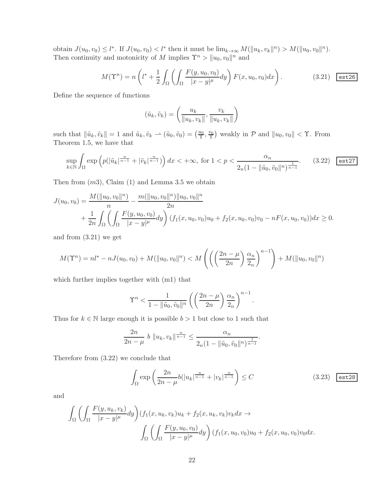obtain  $J(u_0, v_0) \leq l^*$ . If  $J(u_0, v_0) < l^*$  then it must be  $\lim_{k \to \infty} M(||u_k, v_k||^n) > M(||u_0, v_0||^n)$ . Then continuity and motonicity of M implies  $\Upsilon^n > ||u_0, v_0||^n$  and

$$
M(\Upsilon^n) = n\left(l^* + \frac{1}{2} \int_{\Omega} \left( \int_{\Omega} \frac{F(y, u_0, v_0)}{|x - y|^{\mu}} dy \right) F(x, u_0, v_0) dx \right). \tag{3.21} \quad \text{est26}
$$

Define the sequence of functions

$$
(\tilde{u}_k, \tilde{v}_k) = \left(\frac{u_k}{\|u_k, v_k\|}, \frac{v_k}{\|u_k, v_k\|}\right)
$$

such that  $\|\tilde{u}_k, \tilde{v}_k\| = 1$  and  $\tilde{u}_k, \tilde{v}_k \to (\tilde{u}_0, \tilde{v}_0) = (\frac{u_0}{\tilde{\tau}}, \frac{v_0}{\tilde{\tau}})$  weakly in  $\mathcal{P}$  and  $\|u_0, v_0\| < \tilde{\tau}$ . From Theorem 1.5, we have that

$$
\sup_{k \in \mathbb{N}} \int_{\Omega} \exp \left( p(|\tilde{u}_k|^{\frac{n}{n-1}} + |\tilde{v}_k|^{\frac{n}{n-1}}) \right) dx < +\infty, \text{ for } 1 < p < \frac{\alpha_n}{2_n (1 - ||\tilde{u}_0, \tilde{v}_0||^n)^{\frac{1}{n-1}}}.
$$
 (3.22)

Then from  $(m3)$ , Claim  $(1)$  and Lemma 3.5 we obtain

$$
J(u_0, v_0) = \frac{M(||u_0, v_0||^n)}{n} - \frac{m(||u_0, v_0||^n) ||u_0, v_0||^n}{2n}
$$
  
+ 
$$
\frac{1}{2n} \int_{\Omega} \left( \int_{\Omega} \frac{F(y, u_0, v_0)}{|x - y|^{\mu}} dy \right) (f_1(x, u_0, v_0)u_0 + f_2(x, u_0, v_0)v_0 - nF(x, u_0, v_0)) dx \ge 0.
$$

and from (3.21) we get

$$
M(\Upsilon^n) = nl^* - nJ(u_0, v_0) + M(||u_0, v_0|^n) < M\left(\left(\left(\frac{2n-\mu}{2n}\right)\frac{\alpha_n}{2_n}\right)^{n-1}\right) + M(||u_0, v_0|^n)
$$

which further implies together with (m1) that

$$
\Upsilon^n < \frac{1}{1 - \|\tilde{u}_0, \tilde{v}_0\|^n} \left( \left( \frac{2n - \mu}{2n} \right) \frac{\alpha_n}{2_n} \right)^{n-1}.
$$

Thus for  $k \in \mathbb{N}$  large enough it is possible  $b > 1$  but close to 1 such that

$$
\frac{2n}{2n-\mu} b \|u_k, v_k\|^{\frac{n}{n-1}} \le \frac{\alpha_n}{2n(1 - \|\tilde{u}_0, \tilde{v}_0\|^n)^{\frac{1}{n-1}}}.
$$

Therefore from (3.22) we conclude that

$$
\int_{\Omega} \exp\left(\frac{2n}{2n-\mu}b(|u_k|^{\frac{n}{n-1}}+|v_k|^{\frac{n}{n-1}}\right) \le C \tag{3.23} \quad \text{(3.25)}
$$

and

$$
\int_{\Omega} \left( \int_{\Omega} \frac{F(y, u_k, v_k)}{|x - y|^{\mu}} dy \right) (f_1(x, u_k, v_k) u_k + f_2(x, u_k, v_k) v_k dx \to
$$
\n
$$
\int_{\Omega} \left( \int_{\Omega} \frac{F(y, u_0, v_0)}{|x - y|^{\mu}} dy \right) (f_1(x, u_0, v_0) u_0 + f_2(x, u_0, v_0) v_0 dx.
$$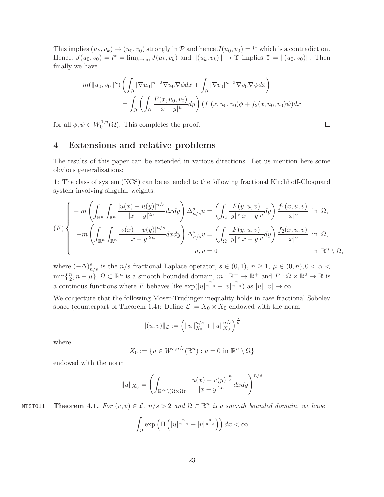This implies  $(u_k, v_k) \to (u_0, v_0)$  strongly in  $P$  and hence  $J(u_0, v_0) = l^*$  which is a contradiction. Hence,  $J(u_0, v_0) = l^* = \lim_{k \to \infty} J(u_k, v_k)$  and  $||(u_k, v_k)|| \to \Upsilon$  implies  $\Upsilon = ||(u_0, v_0)||$ . Then finally we have

$$
m(\|u_0, v_0\|^n) \left( \int_{\Omega} |\nabla u_0|^{n-2} \nabla u_0 \nabla \phi dx + \int_{\Omega} |\nabla v_0|^{n-2} \nabla v_0 \nabla \psi dx \right)
$$
  
= 
$$
\int_{\Omega} \left( \int_{\Omega} \frac{F(x, u_0, v_0)}{|x - y|^{\mu}} dy \right) (f_1(x, u_0, v_0) \phi + f_2(x, u_0, v_0) \psi) dx
$$

 $\Box$ 

for all  $\phi, \psi \in W_0^{1,n}$  $_{0}^{\infty, n}(\Omega)$ . This completes the proof.

### 4 Extensions and relative problems

The results of this paper can be extended in various directions. Let us mention here some obvious generalizations:

1: The class of system (KCS) can be extended to the following fractional Kirchhoff-Choquard system involving singular weights:

$$
(F)\begin{cases}\n-m\left(\int_{\mathbb{R}^n}\int_{\mathbb{R}^n}\frac{|u(x)-u(y)|^{n/s}}{|x-y|^{2n}}dxdy\right)\Delta_{n/s}^s u = \left(\int_{\Omega}\frac{F(y,u,v)}{|y|^{\alpha}|x-y|^{\mu}}dy\right)\frac{f_1(x,u,v)}{|x|^{\alpha}}\quad\text{in }\Omega, \\
-m\left(\int_{\mathbb{R}^n}\int_{\mathbb{R}^n}\frac{|v(x)-v(y)|^{n/s}}{|x-y|^{2n}}dxdy\right)\Delta_{n/s}^s v = \left(\int_{\Omega}\frac{F(y,u,v)}{|y|^{\alpha}|x-y|^{\mu}}dy\right)\frac{f_2(x,u,v)}{|x|^{\alpha}}\quad\text{in }\Omega, \\
u,v=0\qquad\qquad\qquad\text{in }\mathbb{R}^n\setminus\Omega,\n\end{cases}
$$

where  $(-\Delta)_{n/s}^s$  is the  $n/s$  fractional Laplace operator,  $s \in (0,1)$ ,  $n \geq 1$ ,  $\mu \in (0,n)$ ,  $0 < \alpha <$  $\min\{\frac{n}{2}\}$  $\{2\}$ ,  $n-\mu\}$ ,  $\Omega \subset \mathbb{R}^n$  is a smooth bounded domain,  $m : \mathbb{R}^+ \to \mathbb{R}^+$  and  $F : \Omega \times \mathbb{R}^2 \to \mathbb{R}$  is a continous functions where F behaves like  $\exp(|u|^{\frac{n}{n-s}} + |v|^{\frac{n}{n-s}})$  as  $|u|, |v| \to \infty$ .

We conjecture that the following Moser-Trudinger inequality holds in case fractional Sobolev space (counterpart of Theorem 1.4): Define  $\mathcal{L} := X_0 \times X_0$  endowed with the norm

$$
||(u,v)||_{\mathcal{L}} := \left(||u||_{X_0}^{n/s} + ||u||_{X_0}^{n/s}\right)^{\frac{s}{n}}
$$

where

$$
X_0 := \{ u \in W^{s,n/s}(\mathbb{R}^n) : u = 0 \text{ in } \mathbb{R}^n \setminus \Omega \}
$$

endowed with the norm

$$
||u||_{X_0} = \left(\int_{\mathbb{R}^{2n}\setminus(\Omega\times\Omega)^c} \frac{|u(x)-u(y)|^{\frac{n}{s}}}{|x-y|^{2n}} dxdy\right)^{n/s}
$$

MTST011 Theorem 4.1. For  $(u, v) \in \mathcal{L}$ ,  $n/s > 2$  and  $\Omega \subset \mathbb{R}^n$  is a smooth bounded domain, we have

$$
\int_{\Omega} \exp\left(\Pi\left(|u|^{\frac{n}{n-s}}+|v|^{\frac{n}{n-s}}\right)\right) dx < \infty
$$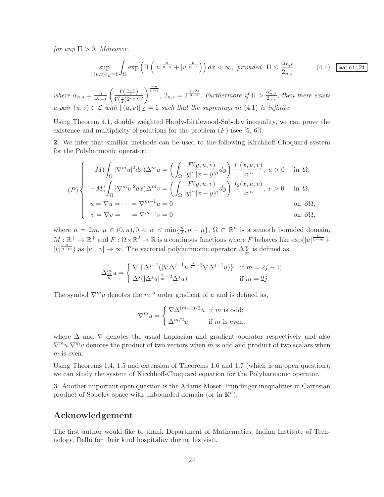for any  $\Pi > 0$ . Moreover,

$$
\sup_{\|(u,v)\|_{\mathcal{L}}=1} \int_{\Omega} \exp\left(\Pi\left(\left|u\right|^{\frac{n}{n-s}} + \left|v\right|^{\frac{n}{n-s}}\right)\right) dx < \infty, \text{ provided } \Pi \le \frac{\alpha_{n,s}}{2_{n,s}} \tag{4.1} \boxed{\text{main1121}}
$$

where  $\alpha_{n,s} = \frac{n}{\omega_{n,s}}$  $\omega_{n-1}$  $\left( \frac{n-s}{2} \right)$  $\Gamma\left(\frac{s}{2}\right)2^s\pi^{n/2}$  $\int_{0}^{\frac{-n}{n-s}}$ ,  $2_{n,s} = 2^{\frac{n-2s}{n-s}}$ . Furthermore if  $\Pi > \frac{\alpha_{n,s}^*}{2_{n,s}}$ , then there exists a pair  $(u, v) \in \mathcal{L}$  with  $||(u, v)||\hat{\mathcal{L}} = 1$  such that the supremum in (4.1) is infinite.

Using Theorem 4.1, doubly weighted Hardy-Littlewood-Sobolev inequality, we can prove the existence and multiplicity of solutions for the problem  $(F)$  (see [5, 6]).

2: We infer that similiar methods can be used to the following Kirchhoff-Choquard system for the Polyharmonic operator:

$$
(P) \begin{cases}\n-M(\int_{\Omega} |\nabla^m u|^2 dx) \Delta^m u = \left(\int_{\Omega} \frac{F(y, u, v)}{|y|^{\alpha} |x - y|^{\mu}} dy\right) \frac{f_1(x, u, v)}{|x|^{\alpha}}, u > 0 & \text{in } \Omega, \\
-M(\int_{\Omega} |\nabla^m v|^2 dx) \Delta^m v = \left(\int_{\Omega} \frac{F(y, u, v)}{|y|^{\alpha} |x - y|^{\mu}} dy\right) \frac{f_2(x, u, v)}{|x|^{\alpha}}, v > 0 & \text{in } \Omega, \\
u = \nabla u = \dots = \nabla^{m-1} u = 0 & \text{on } \partial\Omega, \\
v = \nabla v = \dots = \nabla^{m-1} v = 0 & \text{on } \partial\Omega,\n\end{cases}
$$

where  $n = 2m$ ,  $\mu \in (0, n)$ ,  $0 < \alpha < \min\{\frac{n}{2}\}$  $\frac{n}{2}, n - \mu$ ,  $\Omega \subset \mathbb{R}^n$  is a smooth bounded domain,  $M:\mathbb{R}^+\to\mathbb{R}^+$  and  $F:\Omega\times\mathbb{R}^2\to\mathbb{R}$  is a continous functions where F behaves like  $\exp(|u|^{\frac{n}{n-m}}+$  $|v|^{\frac{n}{n-m}}$  as  $|u|, |v| \to \infty$ . The vectorial polyharmonic operator  $\Delta_{\frac{n}{m}}^m$  is defined as

$$
\Delta_{\frac{m}{m}}^m u = \begin{cases} \nabla \cdot \{ \Delta^{j-1} (|\nabla \Delta^{j-1} u|^{\frac{n}{m}-2} \nabla \Delta^{j-1} u) \} & \text{if } m = 2j - 1; \\ \nabla^j (|\Delta^j u|^{\frac{n}{m}-2} \Delta^j u) & \text{if } m = 2j. \end{cases}
$$

The symbol  $\nabla^m u$  denotes the m<sup>th</sup> order gradient of u and is defined as,

$$
\nabla^m u = \begin{cases} \nabla \Delta^{(m-1)/2} u \text{ if } m \text{ is odd;} \\ \Delta^{m/2} u \text{ if } m \text{ is even,} \end{cases}
$$

where  $\Delta$  and  $\nabla$  denotes the usual Laplacian and gradient operator respectively and also  $\nabla^m u \cdot \nabla^m v$  denotes the product of two vectors when m is odd and product of two scalars when  $m$  is even.

Using Theorems 1.4, 1.5 and extension of Theorems 1.6 and 1.7 (which is an open question), we can study the system of Kirchhoff-Choquard equation for the Polyharmonic operator.

3: Another important open question is the Adams-Moser-Trundinger inequalities in Cartesian product of Sobolev space with unbounded domain (or in  $\mathbb{R}^n$ ).

## Acknowledgement

The first author would like to thank Department of Mathematics, Indian Institute of Technology, Delhi for their kind hospitality during his visit.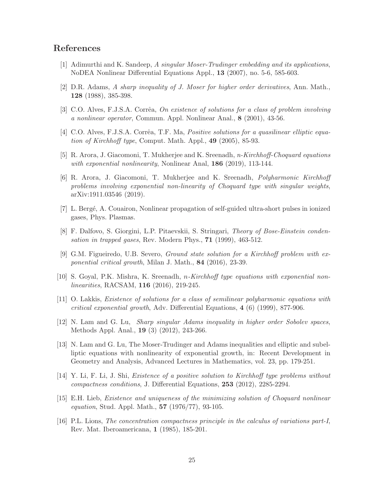## References

- [1] Adimurthi and K. Sandeep, A singular Moser-Trudinger embedding and its applications, NoDEA Nonlinear Differential Equations Appl., 13 (2007), no. 5-6, 585-603.
- [2] D.R. Adams, A sharp inequality of J. Moser for higher order derivatives, Ann. Math., 128 (1988), 385-398.
- [3] C.O. Alves, F.J.S.A. Corrêa, On existence of solutions for a class of problem involving a nonlinear operator, Commun. Appl. Nonlinear Anal., 8 (2001), 43-56.
- [4] C.O. Alves, F.J.S.A. Corrêa, T.F. Ma, *Positive solutions for a quasilinear elliptic equa*tion of Kirchhoff type, Comput. Math. Appl., 49 (2005), 85-93.
- [5] R. Arora, J. Giacomoni, T. Mukherjee and K. Sreenadh, n-Kirchhoff-Choquard equations with exponential nonlinearity, Nonlinear Anal, 186 (2019), 113-144.
- [6] R. Arora, J. Giacomoni, T. Mukherjee and K. Sreenadh, Polyharmonic Kirchhoff problems involving exponential non-linearity of Choquard type with singular weights, arXiv:1911.03546 (2019).
- [7] L. Berg´e, A. Couairon, Nonlinear propagation of self-guided ultra-short pulses in ionized gases, Phys. Plasmas.
- [8] F. Dalfovo, S. Giorgini, L.P. Pitaevskii, S. Stringari, Theory of Bose-Einstein condensation in trapped gases, Rev. Modern Phys., 71 (1999), 463-512.
- [9] G.M. Figueiredo, U.B. Severo, Ground state solution for a Kirchhoff problem with exponential critical growth, Milan J. Math., 84 (2016), 23-39.
- [10] S. Goyal, P.K. Mishra, K. Sreenadh, n-Kirchhoff type equations with exponential nonlinearities, RACSAM, 116 (2016), 219-245.
- [11] O. Lakkis, Existence of solutions for a class of semilinear polyharmonic equations with critical exponential growth, Adv. Differential Equations, 4 (6) (1999), 877-906.
- [12] N. Lam and G. Lu, Sharp singular Adams inequality in higher order Sobolev spaces, Methods Appl. Anal., 19 (3) (2012), 243-266.
- [13] N. Lam and G. Lu, The Moser-Trudinger and Adams inequalities and elliptic and subelliptic equations with nonlinearity of exponential growth, in: Recent Development in Geometry and Analysis, Advanced Lectures in Mathematics, vol. 23, pp. 179-251.
- [14] Y. Li, F. Li, J. Shi, Existence of a positive solution to Kirchhoff type problems without compactness conditions, J. Differential Equations, 253 (2012), 2285-2294.
- [15] E.H. Lieb, Existence and uniqueness of the minimizing solution of Choquard nonlinear equation, Stud. Appl. Math., 57 (1976/77), 93-105.
- [16] P.L. Lions, The concentration compactness principle in the calculus of variations part-I, Rev. Mat. Iberoamericana, 1 (1985), 185-201.